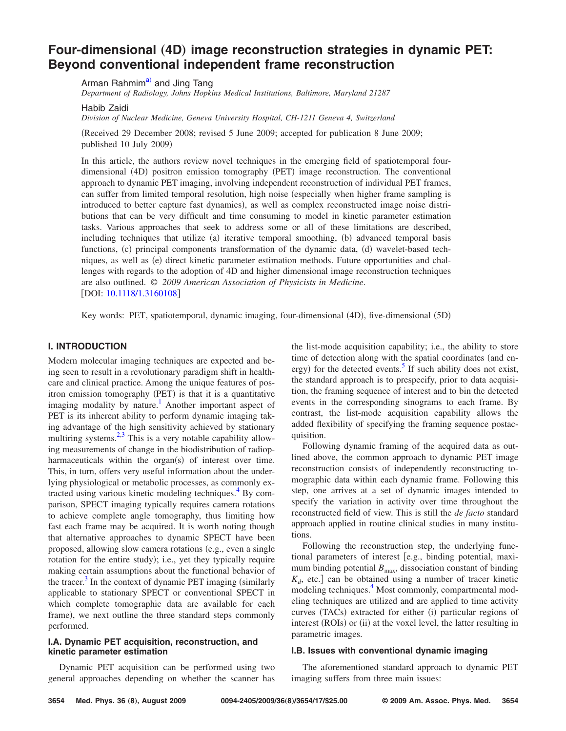# **Four-dimensional (4D) [image reconstruction strategies in dynamic PET:](http://dx.doi.org/10.1118/1.3160108) [Beyond conventional independent frame reconstruction](http://dx.doi.org/10.1118/1.3160108)**

Ar[ma](#page-14-0)n Rahmim<sup>a)</sup> and Jing Tang

*Department of Radiology, Johns Hopkins Medical Institutions, Baltimore, Maryland 21287*

Habib Zaidi

*Division of Nuclear Medicine, Geneva University Hospital, CH-1211 Geneva 4, Switzerland*

Received 29 December 2008; revised 5 June 2009; accepted for publication 8 June 2009; published 10 July 2009)

In this article, the authors review novel techniques in the emerging field of spatiotemporal fourdimensional (4D) positron emission tomography (PET) image reconstruction. The conventional approach to dynamic PET imaging, involving independent reconstruction of individual PET frames, can suffer from limited temporal resolution, high noise (especially when higher frame sampling is introduced to better capture fast dynamics), as well as complex reconstructed image noise distributions that can be very difficult and time consuming to model in kinetic parameter estimation tasks. Various approaches that seek to address some or all of these limitations are described, including techniques that utilize (a) iterative temporal smoothing, (b) advanced temporal basis functions, (c) principal components transformation of the dynamic data, (d) wavelet-based techniques, as well as (e) direct kinetic parameter estimation methods. Future opportunities and challenges with regards to the adoption of 4D and higher dimensional image reconstruction techniques are also outlined. © *2009 American Association of Physicists in Medicine*. [DOI: [10.1118/1.3160108](http://dx.doi.org/10.1118/1.3160108)]

Key words: PET, spatiotemporal, dynamic imaging, four-dimensional (4D), five-dimensional (5D)

# **I. INTRODUCTION**

Modern molecular imaging techniques are expected and being seen to result in a revolutionary paradigm shift in healthcare and clinical practice. Among the unique features of positron emission tomography (PET) is that it is a quantitative imaging modality by nature.<sup>1</sup> Another important aspect of PET is its inherent ability to perform dynamic imaging taking advantage of the high sensitivity achieved by stationary multiring systems. $2,3$  $2,3$  This is a very notable capability allowing measurements of change in the biodistribution of radiopharmaceuticals within the organ(s) of interest over time. This, in turn, offers very useful information about the underlying physiological or metabolic processes, as commonly extracted using various kinetic modeling techniques.<sup>4</sup> By comparison, SPECT imaging typically requires camera rotations to achieve complete angle tomography, thus limiting how fast each frame may be acquired. It is worth noting though that alternative approaches to dynamic SPECT have been proposed, allowing slow camera rotations (e.g., even a single rotation for the entire study); i.e., yet they typically require making certain assumptions about the functional behavior of the tracer.<sup>3</sup> In the context of dynamic PET imaging (similarly applicable to stationary SPECT or conventional SPECT in which complete tomographic data are available for each frame), we next outline the three standard steps commonly performed.

### **I.A. Dynamic PET acquisition, reconstruction, and kinetic parameter estimation**

Dynamic PET acquisition can be performed using two general approaches depending on whether the scanner has

the list-mode acquisition capability; i.e., the ability to store time of detection along with the spatial coordinates (and energy) for the detected events.<sup>5</sup> If such ability does not exist, the standard approach is to prespecify, prior to data acquisition, the framing sequence of interest and to bin the detected events in the corresponding sinograms to each frame. By contrast, the list-mode acquisition capability allows the added flexibility of specifying the framing sequence postacquisition.

Following dynamic framing of the acquired data as outlined above, the common approach to dynamic PET image reconstruction consists of independently reconstructing tomographic data within each dynamic frame. Following this step, one arrives at a set of dynamic images intended to specify the variation in activity over time throughout the reconstructed field of view. This is still the *de facto* standard approach applied in routine clinical studies in many institutions.

Following the reconstruction step, the underlying functional parameters of interest [e.g., binding potential, maximum binding potential  $B_{\text{max}}$ , dissociation constant of binding  $K_d$ , etc.] can be obtained using a number of tracer kinetic modeling techniques.<sup>4</sup> Most commonly, compartmental modeling techniques are utilized and are applied to time activity curves (TACs) extracted for either (i) particular regions of interest (ROIs) or (ii) at the voxel level, the latter resulting in parametric images.

### **I.B. Issues with conventional dynamic imaging**

The aforementioned standard approach to dynamic PET imaging suffers from three main issues: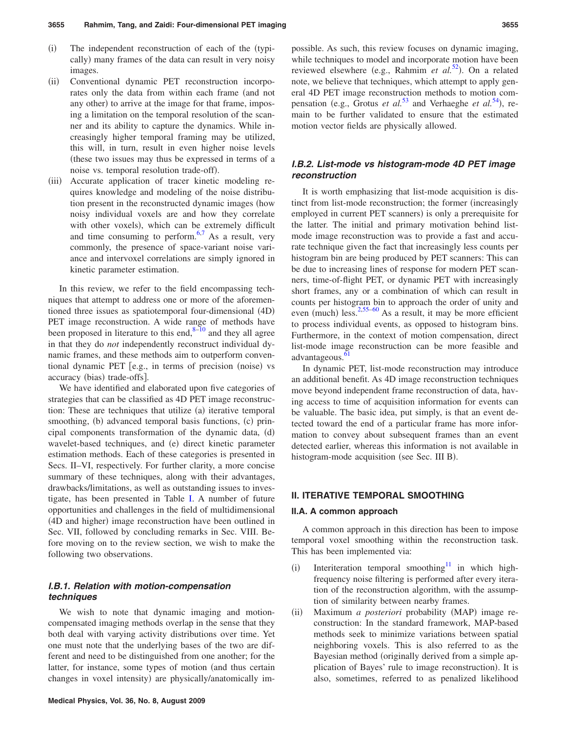- $(i)$ The independent reconstruction of each of the (typically) many frames of the data can result in very noisy images.
- $(ii)$  Conventional dynamic PET reconstruction incorporates only the data from within each frame (and not any other) to arrive at the image for that frame, imposing a limitation on the temporal resolution of the scanner and its ability to capture the dynamics. While increasingly higher temporal framing may be utilized, this will, in turn, result in even higher noise levels these two issues may thus be expressed in terms of a noise vs. temporal resolution trade-off).
- (iii) Accurate application of tracer kinetic modeling requires knowledge and modeling of the noise distribution present in the reconstructed dynamic images (how noisy individual voxels are and how they correlate with other voxels), which can be extremely difficult and time consuming to perform. $6,7$  $6,7$  As a result, very commonly, the presence of space-variant noise variance and intervoxel correlations are simply ignored in kinetic parameter estimation.

In this review, we refer to the field encompassing techniques that attempt to address one or more of the aforementioned three issues as spatiotemporal four-dimensional (4D) PET image reconstruction. A wide range of methods have been proposed in literature to this end, $8-10$  and they all agree in that they do *not* independently reconstruct individual dynamic frames, and these methods aim to outperform conventional dynamic PET [e.g., in terms of precision (noise) vs accuracy (bias) trade-offs].

We have identified and elaborated upon five categories of strategies that can be classified as 4D PET image reconstruction: These are techniques that utilize (a) iterative temporal smoothing, (b) advanced temporal basis functions, (c) principal components transformation of the dynamic data, (d) wavelet-based techniques, and (e) direct kinetic parameter estimation methods. Each of these categories is presented in Secs. II–VI, respectively. For further clarity, a more concise summary of these techniques, along with their advantages, drawbacks/limitations, as well as outstanding issues to investigate, has been presented in Table [I.](#page-2-0) A number of future opportunities and challenges in the field of multidimensional (4D and higher) image reconstruction have been outlined in Sec. VII, followed by concluding remarks in Sec. VIII. Before moving on to the review section, we wish to make the following two observations.

# *I.B.1. Relation with motion-compensation techniques*

We wish to note that dynamic imaging and motioncompensated imaging methods overlap in the sense that they both deal with varying activity distributions over time. Yet one must note that the underlying bases of the two are different and need to be distinguished from one another; for the latter, for instance, some types of motion (and thus certain changes in voxel intensity) are physically/anatomically im-

possible. As such, this review focuses on dynamic imaging, while techniques to model and incorporate motion have been reviewed elsewhere (e.g., Rahmim *et al.*<sup>[52](#page-15-0)</sup>). On a related note, we believe that techniques, which attempt to apply general 4D PET image reconstruction methods to motion compensation (e.g., Grotus *et al.*<sup>[53](#page-15-1)</sup> and Verhaeghe *et al.*<sup>[54](#page-15-2)</sup>), remain to be further validated to ensure that the estimated motion vector fields are physically allowed.

### *I.B.2. List-mode vs histogram-mode 4D PET image reconstruction*

It is worth emphasizing that list-mode acquisition is distinct from list-mode reconstruction; the former (increasingly employed in current PET scanners) is only a prerequisite for the latter. The initial and primary motivation behind listmode image reconstruction was to provide a fast and accurate technique given the fact that increasingly less counts per histogram bin are being produced by PET scanners: This can be due to increasing lines of response for modern PET scanners, time-of-flight PET, or dynamic PET with increasingly short frames, any or a combination of which can result in counts per histogram bin to approach the order of unity and even (much) less.<sup>2,[55](#page-15-3)[–60](#page-15-4)</sup> As a result, it may be more efficient to process individual events, as opposed to histogram bins. Furthermore, in the context of motion compensation, direct list-mode image reconstruction can be more feasible and advantageous.<sup>6</sup>

In dynamic PET, list-mode reconstruction may introduce an additional benefit. As 4D image reconstruction techniques move beyond independent frame reconstruction of data, having access to time of acquisition information for events can be valuable. The basic idea, put simply, is that an event detected toward the end of a particular frame has more information to convey about subsequent frames than an event detected earlier, whereas this information is not available in histogram-mode acquisition (see Sec. III B).

#### **II. ITERATIVE TEMPORAL SMOOTHING**

### **II.A. A common approach**

A common approach in this direction has been to impose temporal voxel smoothing within the reconstruction task. This has been implemented via:

- $(i)$ Interiteration temporal smoothing<sup>11</sup> in which highfrequency noise filtering is performed after every iteration of the reconstruction algorithm, with the assumption of similarity between nearby frames.
- $(ii)$ ) Maximum *a posteriori* probability (MAP) image reconstruction: In the standard framework, MAP-based methods seek to minimize variations between spatial neighboring voxels. This is also referred to as the Bayesian method (originally derived from a simple application of Bayes' rule to image reconstruction). It is also, sometimes, referred to as penalized likelihood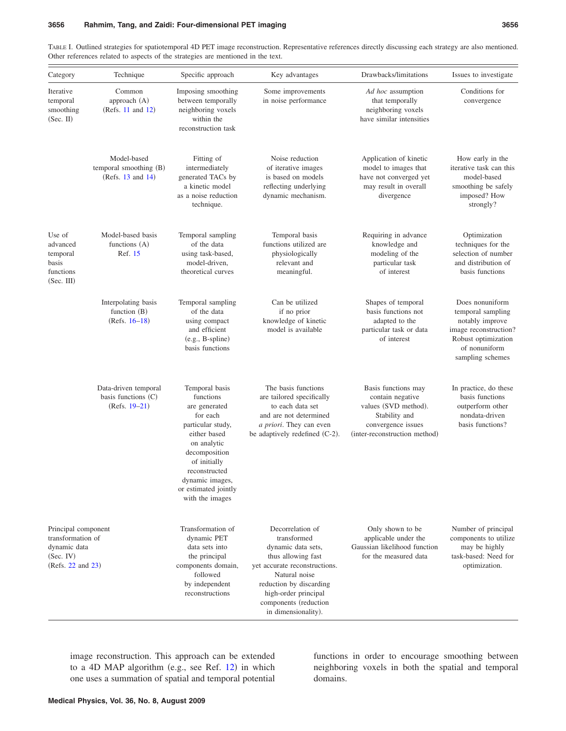Category Technique Specific approach Key advantages Drawbacks/limitations Issues to investigate Iterative temporal smoothing  $(Sec. II)$ Common approach (A)  $(Refs. 11 and 12)$  $(Refs. 11 and 12)$  $(Refs. 11 and 12)$  $(Refs. 11 and 12)$  $(Refs. 11 and 12)$ Imposing smoothing between temporally neighboring voxels within the reconstruction task Some improvements in noise performance *Ad hoc* assumption that temporally neighboring voxels have similar intensities Conditions for convergence Model-based temporal smoothing (B) (Refs.  $13$  and  $14$ ) Fitting of intermediately generated TACs by a kinetic model as a noise reduction technique. Noise reduction of iterative images is based on models reflecting underlying dynamic mechanism. Application of kinetic model to images that have not converged yet may result in overall divergence How early in the iterative task can this model-based smoothing be safely imposed? How strongly? Use of advanced temporal basis functions (Sec. III) Model-based basis functions (A) Ref. [15](#page-14-13) Temporal sampling of the data using task-based, model-driven, theoretical curves Temporal basis functions utilized are physiologically relevant and meaningful. Requiring in advance knowledge and modeling of the particular task of interest Optimization techniques for the selection of number and distribution of basis functions Interpolating basis function (B)  $(Refs. 16-18)$  $(Refs. 16-18)$  $(Refs. 16-18)$ Temporal sampling of the data using compact and efficient (e.g., B-spline) basis functions Can be utilized if no prior knowledge of kinetic model is available Shapes of temporal basis functions not adapted to the particular task or data of interest Does nonuniform temporal sampling notably improve image reconstruction? Robust optimization of nonuniform sampling schemes Data-driven temporal basis functions (C) (Refs. [19](#page-14-16)[–21](#page-14-17)) Temporal basis functions are generated for each particular study, either based on analytic decomposition of initially reconstructed dynamic images, or estimated jointly with the images The basis functions are tailored specifically to each data set and are not determined *a priori*. They can even be adaptively redefined (C-2). Basis functions may contain negative values (SVD method). Stability and convergence issues (inter-reconstruction method) In practice, do these basis functions outperform other nondata-driven basis functions? Transformation of

<span id="page-2-0"></span>TABLE I. Outlined strategies for spatiotemporal 4D PET image reconstruction. Representative references directly discussing each strategy are also mentioned. Other references related to aspects of the strategies are mentioned in the text.

Principal component transformation of dynamic data  $(Sec$  IV) (Refs. [22](#page-14-18) and [23](#page-14-15))

dynamic PET data sets into the principal components domain, followed by independent reconstructions Decorrelation of transformed dynamic data sets, thus allowing fast yet accurate reconstructions. Natural noise reduction by discarding high-order principal components (reduction in dimensionality).

Only shown to be applicable under the Gaussian likelihood function for the measured data

Number of principal components to utilize may be highly task-based: Need for optimization.

image reconstruction. This approach can be extended to a 4D MAP algorithm (e.g., see Ref.  $12$ ) in which one uses a summation of spatial and temporal potential functions in order to encourage smoothing between neighboring voxels in both the spatial and temporal domains.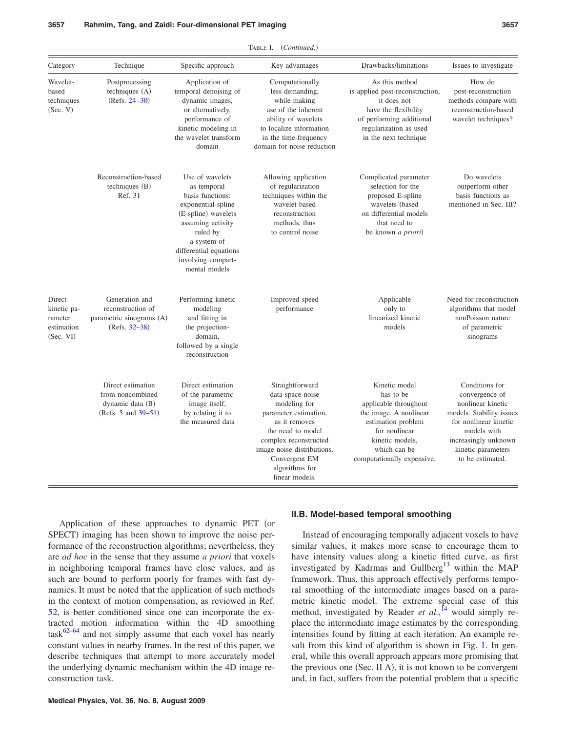| Category                                                    | Technique                                                                           | Specific approach                                                                                                                                                                                                | Key advantages                                                                                                                                                                                                                 | Drawbacks/limitations                                                                                                                                                                 | Issues to investigate                                                                                                                                                                       |
|-------------------------------------------------------------|-------------------------------------------------------------------------------------|------------------------------------------------------------------------------------------------------------------------------------------------------------------------------------------------------------------|--------------------------------------------------------------------------------------------------------------------------------------------------------------------------------------------------------------------------------|---------------------------------------------------------------------------------------------------------------------------------------------------------------------------------------|---------------------------------------------------------------------------------------------------------------------------------------------------------------------------------------------|
| Wavelet-<br>based<br>techniques<br>(Sec. V)                 | Postprocessing<br>techniques (A)<br>$(Refs. 24-30)$                                 | Application of<br>temporal denoising of<br>dynamic images,<br>or alternatively,<br>performance of<br>kinetic modeling in<br>the wavelet transform<br>domain                                                      | Computationally<br>less demanding,<br>while making<br>use of the inherent<br>ability of wavelets<br>to localize information<br>in the time-frequency<br>domain for noise reduction                                             | As this method<br>is applied post-reconstruction,<br>it does not<br>have the flexibility<br>of performing additional<br>regularization as used<br>in the next technique               | How do<br>post-reconstruction<br>methods compare with<br>reconstruction-based<br>wavelet techniques?                                                                                        |
|                                                             | Reconstruction-based<br>techniques $(B)$<br>Ref. 31                                 | Use of wavelets<br>as temporal<br>basis functions:<br>exponential-spline<br>(E-spline) wavelets<br>assuming activity<br>ruled by<br>a system of<br>differential equations<br>involving compart-<br>mental models | Allowing application<br>of regularization<br>techniques within the<br>wavelet-based<br>reconstruction<br>methods, thus<br>to control noise                                                                                     | Complicated parameter<br>selection for the<br>proposed E-spline<br>wavelets (based<br>on differential models<br>that need to<br>be known <i>a priori</i> )                            | Do wavelets<br>outperform other<br>basis functions as<br>mentioned in Sec. III?                                                                                                             |
| Direct<br>kinetic pa-<br>rameter<br>estimation<br>(Sec. VI) | Generation and<br>reconstruction of<br>parametric sinograms (A)<br>(Refs. 32–38)    | Performing kinetic<br>modeling<br>and fitting in<br>the projection-<br>domain.<br>followed by a single<br>reconstruction                                                                                         | Improved speed<br>performance                                                                                                                                                                                                  | Applicable<br>only to<br>linearized kinetic<br>models                                                                                                                                 | Need for reconstruction<br>algorithms that model<br>nonPoisson nature<br>of parametric<br>sinograms                                                                                         |
|                                                             | Direct estimation<br>from noncombined<br>dynamic data (B)<br>(Refs. 5 and $39-51$ ) | Direct estimation<br>of the parametric<br>image itself,<br>by relating it to<br>the measured data                                                                                                                | Straightforward<br>data-space noise<br>modeling for<br>parameter estimation,<br>as it removes<br>the need to model<br>complex reconstructed<br>image noise distributions.<br>Convergent EM<br>algorithms for<br>linear models. | Kinetic model<br>has to be<br>applicable throughout<br>the image. A nonlinear<br>estimation problem<br>for nonlinear<br>kinetic models,<br>which can be<br>computationally expensive. | Conditions for<br>convergence of<br>nonlinear kinetic<br>models. Stability issues<br>for nonlinear kinetic<br>models with<br>increasingly unknown<br>kinetic parameters<br>to be estimated. |

Application of these approaches to dynamic PET (or SPECT) imaging has been shown to improve the noise performance of the reconstruction algorithms; nevertheless, they are *ad hoc* in the sense that they assume *a priori* that voxels in neighboring temporal frames have close values, and as such are bound to perform poorly for frames with fast dynamics. It must be noted that the application of such methods in the context of motion compensation, as reviewed in Ref. [52,](#page-15-0) is better conditioned since one can incorporate the extracted motion information within the 4D smoothing  $task^{62-64}$  $task^{62-64}$  $task^{62-64}$  and not simply assume that each voxel has nearly constant values in nearby frames. In the rest of this paper, we describe techniques that attempt to more accurately model the underlying dynamic mechanism within the 4D image reconstruction task.

### **II.B. Model-based temporal smoothing**

Instead of encouraging temporally adjacent voxels to have similar values, it makes more sense to encourage them to have intensity values along a kinetic fitted curve, as first investigated by Kadrmas and Gullberg<sup>13</sup> within the MAP framework. Thus, this approach effectively performs temporal smoothing of the intermediate images based on a parametric kinetic model. The extreme special case of this method, investigated by Reader *et al.*,<sup>[14](#page-14-12)</sup> would simply replace the intermediate image estimates by the corresponding intensities found by fitting at each iteration. An example re-sult from this kind of algorithm is shown in Fig. [1.](#page-4-0) In general, while this overall approach appears more promising that the previous one (Sec. II A), it is not known to be convergent and, in fact, suffers from the potential problem that a specific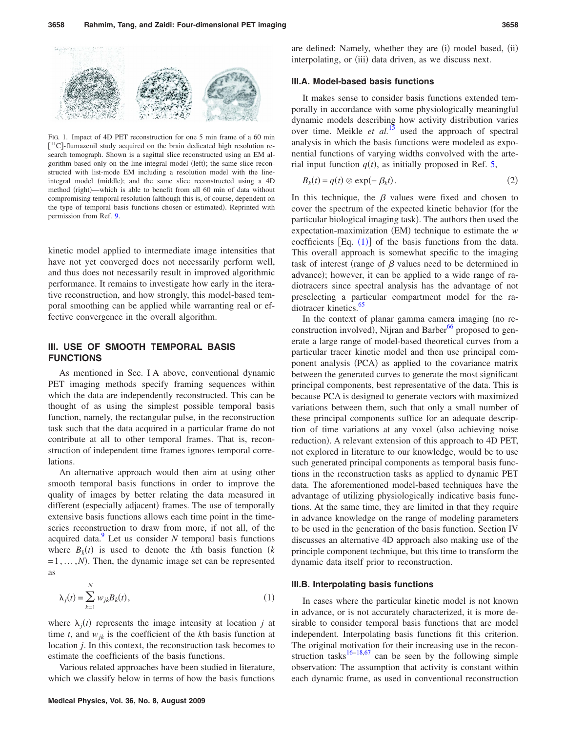<span id="page-4-0"></span>

FIG. 1. Impact of 4D PET reconstruction for one 5 min frame of a 60 min [<sup>11</sup>C]-flumazenil study acquired on the brain dedicated high resolution research tomograph. Shown is a sagittal slice reconstructed using an EM algorithm based only on the line-integral model (left); the same slice reconstructed with list-mode EM including a resolution model with the lineintegral model (middle); and the same slice reconstructed using a 4D method (right)—which is able to benefit from all 60 min of data without compromising temporal resolution (although this is, of course, dependent on the type of temporal basis functions chosen or estimated). Reprinted with permission from Ref. [9.](#page-14-25)

kinetic model applied to intermediate image intensities that have not yet converged does not necessarily perform well, and thus does not necessarily result in improved algorithmic performance. It remains to investigate how early in the iterative reconstruction, and how strongly, this model-based temporal smoothing can be applied while warranting real or effective convergence in the overall algorithm.

# **III. USE OF SMOOTH TEMPORAL BASIS FUNCTIONS**

As mentioned in Sec. I A above, conventional dynamic PET imaging methods specify framing sequences within which the data are independently reconstructed. This can be thought of as using the simplest possible temporal basis function, namely, the rectangular pulse, in the reconstruction task such that the data acquired in a particular frame do not contribute at all to other temporal frames. That is, reconstruction of independent time frames ignores temporal correlations.

An alternative approach would then aim at using other smooth temporal basis functions in order to improve the quality of images by better relating the data measured in different (especially adjacent) frames. The use of temporally extensive basis functions allows each time point in the timeseries reconstruction to draw from more, if not all, of the acquired data. $\frac{9}{2}$  Let us consider *N* temporal basis functions where  $B_k(t)$  is used to denote the *k*th basis function  $(k$  $=1, \ldots, N$ ). Then, the dynamic image set can be represented as

<span id="page-4-1"></span>
$$
\lambda_j(t) = \sum_{k=1}^N w_{jk} B_k(t),\tag{1}
$$

where  $\lambda_j(t)$  represents the image intensity at location *j* at time *t*, and  $w_{ik}$  is the coefficient of the *k*th basis function at location *j*. In this context, the reconstruction task becomes to estimate the coefficients of the basis functions.

Various related approaches have been studied in literature, which we classify below in terms of how the basis functions are defined: Namely, whether they are (i) model based, (ii) interpolating, or (iii) data driven, as we discuss next.

### **III.A. Model-based basis functions**

It makes sense to consider basis functions extended temporally in accordance with some physiologically meaningful dynamic models describing how activity distribution varies over time. Meikle *et al.*<sup>[15](#page-14-13)</sup> used the approach of spectral analysis in which the basis functions were modeled as exponential functions of varying widths convolved with the arterial input function  $q(t)$ , as initially proposed in Ref. [5,](#page-14-4)

$$
B_k(t) = q(t) \otimes \exp(-\beta_k t). \tag{2}
$$

In this technique, the  $\beta$  values were fixed and chosen to cover the spectrum of the expected kinetic behavior (for the particular biological imaging task). The authors then used the expectation-maximization (EM) technique to estimate the *w* coefficients  $[Eq. (1)]$  $[Eq. (1)]$  $[Eq. (1)]$  of the basis functions from the data. This overall approach is somewhat specific to the imaging task of interest (range of  $\beta$  values need to be determined in advance); however, it can be applied to a wide range of radiotracers since spectral analysis has the advantage of not preselecting a particular compartment model for the radiotracer kinetics.<sup>65</sup>

In the context of planar gamma camera imaging (no reconstruction involved), Nijran and Barber<sup>66</sup> proposed to generate a large range of model-based theoretical curves from a particular tracer kinetic model and then use principal component analysis (PCA) as applied to the covariance matrix between the generated curves to generate the most significant principal components, best representative of the data. This is because PCA is designed to generate vectors with maximized variations between them, such that only a small number of these principal components suffice for an adequate description of time variations at any voxel (also achieving noise reduction). A relevant extension of this approach to 4D PET, not explored in literature to our knowledge, would be to use such generated principal components as temporal basis functions in the reconstruction tasks as applied to dynamic PET data. The aforementioned model-based techniques have the advantage of utilizing physiologically indicative basis functions. At the same time, they are limited in that they require in advance knowledge on the range of modeling parameters to be used in the generation of the basis function. Section IV discusses an alternative 4D approach also making use of the principle component technique, but this time to transform the dynamic data itself prior to reconstruction.

#### **III.B. Interpolating basis functions**

In cases where the particular kinetic model is not known in advance, or is not accurately characterized, it is more desirable to consider temporal basis functions that are model independent. Interpolating basis functions fit this criterion. The original motivation for their increasing use in the recon-struction tasks<sup>16–[18,](#page-14-15)[67](#page-15-11)</sup> can be seen by the following simple observation: The assumption that activity is constant within each dynamic frame, as used in conventional reconstruction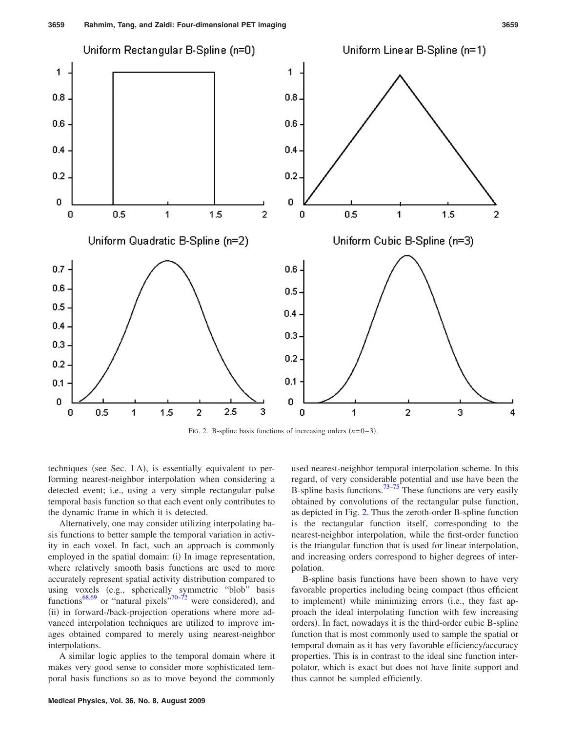<span id="page-5-0"></span>

FIG. 2. B-spline basis functions of increasing orders  $(n=0-3)$ .

techniques (see Sec. I A), is essentially equivalent to performing nearest-neighbor interpolation when considering a detected event; i.e., using a very simple rectangular pulse temporal basis function so that each event only contributes to the dynamic frame in which it is detected.

Alternatively, one may consider utilizing interpolating basis functions to better sample the temporal variation in activity in each voxel. In fact, such an approach is commonly employed in the spatial domain: (i) In image representation, where relatively smooth basis functions are used to more accurately represent spatial activity distribution compared to using voxels (e.g., spherically symmetric "blob" basis functions<sup>68[,69](#page-15-13)</sup> or "natural pixels"<sup>70[–72](#page-15-15)</sup> were considered), and (ii) in forward-/back-projection operations where more advanced interpolation techniques are utilized to improve images obtained compared to merely using nearest-neighbor interpolations.

A similar logic applies to the temporal domain where it makes very good sense to consider more sophisticated temporal basis functions so as to move beyond the commonly

**Medical Physics, Vol. 36, No. 8, August 2009**

used nearest-neighbor temporal interpolation scheme. In this regard, of very considerable potential and use have been the B-spline basis functions.<sup>73[–75](#page-15-17)</sup> These functions are very easily obtained by convolutions of the rectangular pulse function, as depicted in Fig. [2.](#page-5-0) Thus the zeroth-order B-spline function is the rectangular function itself, corresponding to the nearest-neighbor interpolation, while the first-order function is the triangular function that is used for linear interpolation, and increasing orders correspond to higher degrees of interpolation.

B-spline basis functions have been shown to have very favorable properties including being compact (thus efficient to implement) while minimizing errors (i.e., they fast approach the ideal interpolating function with few increasing orders). In fact, nowadays it is the third-order cubic B-spline function that is most commonly used to sample the spatial or temporal domain as it has very favorable efficiency/accuracy properties. This is in contrast to the ideal sinc function interpolator, which is exact but does not have finite support and thus cannot be sampled efficiently.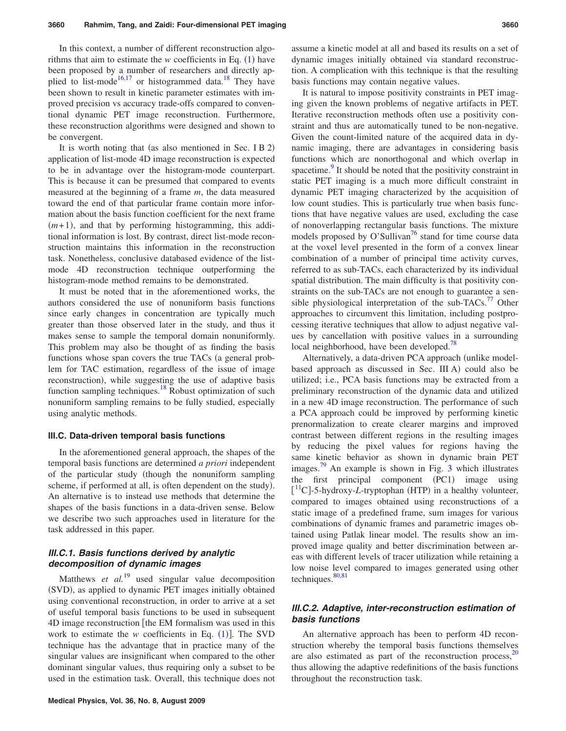In this context, a number of different reconstruction algorithms that aim to estimate the  $w$  coefficients in Eq.  $(1)$  $(1)$  $(1)$  have been proposed by a number of researchers and directly ap-plied to list-mode<sup>16,[17](#page-14-26)</sup> or histogrammed data.<sup>18</sup> They have been shown to result in kinetic parameter estimates with improved precision vs accuracy trade-offs compared to conventional dynamic PET image reconstruction. Furthermore, these reconstruction algorithms were designed and shown to be convergent.

It is worth noting that (as also mentioned in Sec. I B 2) application of list-mode 4D image reconstruction is expected to be in advantage over the histogram-mode counterpart. This is because it can be presumed that compared to events measured at the beginning of a frame *m*, the data measured toward the end of that particular frame contain more information about the basis function coefficient for the next frame  $(m+1)$ , and that by performing histogramming, this additional information is lost. By contrast, direct list-mode reconstruction maintains this information in the reconstruction task. Nonetheless, conclusive databased evidence of the listmode 4D reconstruction technique outperforming the histogram-mode method remains to be demonstrated.

It must be noted that in the aforementioned works, the authors considered the use of nonuniform basis functions since early changes in concentration are typically much greater than those observed later in the study, and thus it makes sense to sample the temporal domain nonuniformly. This problem may also be thought of as finding the basis functions whose span covers the true TACs (a general problem for TAC estimation, regardless of the issue of image reconstruction), while suggesting the use of adaptive basis function sampling techniques. $18$  Robust optimization of such nonuniform sampling remains to be fully studied, especially using analytic methods.

#### **III.C. Data-driven temporal basis functions**

In the aforementioned general approach, the shapes of the temporal basis functions are determined *a priori* independent of the particular study (though the nonuniform sampling scheme, if performed at all, is often dependent on the study). An alternative is to instead use methods that determine the shapes of the basis functions in a data-driven sense. Below we describe two such approaches used in literature for the task addressed in this paper.

# *III.C.1. Basis functions derived by analytic decomposition of dynamic images*

Matthews *et al.*<sup>[19](#page-14-16)</sup> used singular value decomposition (SVD), as applied to dynamic PET images initially obtained using conventional reconstruction, in order to arrive at a set of useful temporal basis functions to be used in subsequent 4D image reconstruction the EM formalism was used in this work to estimate the  $w$  coefficients in Eq.  $(1)$  $(1)$  $(1)$ ]. The SVD technique has the advantage that in practice many of the singular values are insignificant when compared to the other dominant singular values, thus requiring only a subset to be used in the estimation task. Overall, this technique does not

**Medical Physics, Vol. 36, No. 8, August 2009**

assume a kinetic model at all and based its results on a set of dynamic images initially obtained via standard reconstruction. A complication with this technique is that the resulting basis functions may contain negative values.

It is natural to impose positivity constraints in PET imaging given the known problems of negative artifacts in PET. Iterative reconstruction methods often use a positivity constraint and thus are automatically tuned to be non-negative. Given the count-limited nature of the acquired data in dynamic imaging, there are advantages in considering basis functions which are nonorthogonal and which overlap in spacetime.<sup>9</sup> It should be noted that the positivity constraint in static PET imaging is a much more difficult constraint in dynamic PET imaging characterized by the acquisition of low count studies. This is particularly true when basis functions that have negative values are used, excluding the case of nonoverlapping rectangular basis functions. The mixture models proposed by O'Sullivan<sup>'</sup> stand for time course data at the voxel level presented in the form of a convex linear combination of a number of principal time activity curves, referred to as sub-TACs, each characterized by its individual spatial distribution. The main difficulty is that positivity constraints on the sub-TACs are not enough to guarantee a sensible physiological interpretation of the sub-TACs.<sup>77</sup> Other approaches to circumvent this limitation, including postprocessing iterative techniques that allow to adjust negative values by cancellation with positive values in a surrounding local neighborhood, have been developed.<sup>78</sup>

Alternatively, a data-driven PCA approach (unlike modelbased approach as discussed in Sec. III A) could also be utilized; i.e., PCA basis functions may be extracted from a preliminary reconstruction of the dynamic data and utilized in a new 4D image reconstruction. The performance of such a PCA approach could be improved by performing kinetic prenormalization to create clearer margins and improved contrast between different regions in the resulting images by reducing the pixel values for regions having the same kinetic behavior as shown in dynamic brain PET images.<sup>79</sup> An example is shown in Fig. [3](#page-7-0) which illustrates the first principal component (PC1) image using  $\left[ {}^{11}C \right]$ -5-hydroxy-*L*-tryptophan (HTP) in a healthy volunteer, compared to images obtained using reconstructions of a static image of a predefined frame, sum images for various combinations of dynamic frames and parametric images obtained using Patlak linear model. The results show an improved image quality and better discrimination between areas with different levels of tracer utilization while retaining a low noise level compared to images generated using other techniques. $80,81$  $80,81$ 

# *III.C.2. Adaptive, inter-reconstruction estimation of basis functions*

An alternative approach has been to perform 4D reconstruction whereby the temporal basis functions themselves are also estimated as part of the reconstruction process, $20$ thus allowing the adaptive redefinitions of the basis functions throughout the reconstruction task.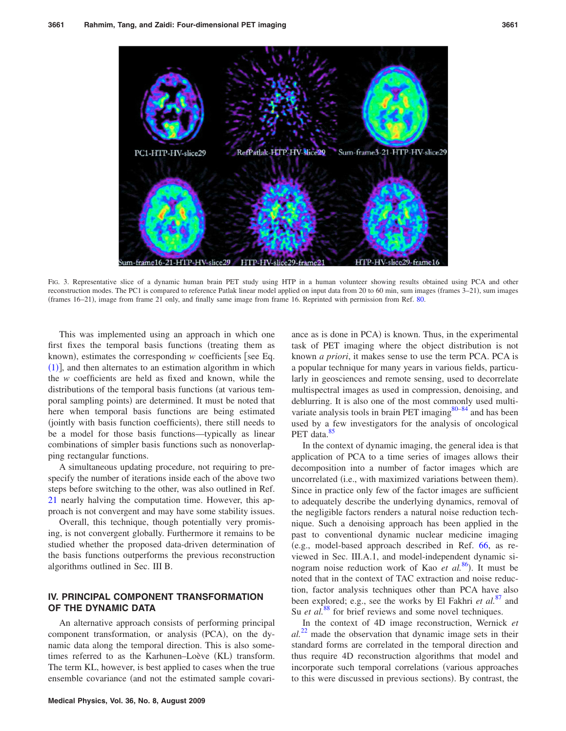<span id="page-7-0"></span>

FIG. 3. Representative slice of a dynamic human brain PET study using HTP in a human volunteer showing results obtained using PCA and other reconstruction modes. The PC1 is compared to reference Patlak linear model applied on input data from 20 to 60 min, sum images (frames 3–21), sum images (frames 16–21), image from frame 21 only, and finally same image from frame 16. Reprinted with permission from Ref. [80.](#page-15-22)

This was implemented using an approach in which one first fixes the temporal basis functions (treating them as known), estimates the corresponding *w* coefficients [see Eq. ([1](#page-4-1))], and then alternates to an estimation algorithm in which the *w* coefficients are held as fixed and known, while the distributions of the temporal basis functions (at various temporal sampling points) are determined. It must be noted that here when temporal basis functions are being estimated (jointly with basis function coefficients), there still needs to be a model for those basis functions—typically as linear combinations of simpler basis functions such as nonoverlapping rectangular functions.

A simultaneous updating procedure, not requiring to prespecify the number of iterations inside each of the above two steps before switching to the other, was also outlined in Ref. [21](#page-14-17) nearly halving the computation time. However, this approach is not convergent and may have some stability issues.

Overall, this technique, though potentially very promising, is not convergent globally. Furthermore it remains to be studied whether the proposed data-driven determination of the basis functions outperforms the previous reconstruction algorithms outlined in Sec. III B.

# **IV. PRINCIPAL COMPONENT TRANSFORMATION OF THE DYNAMIC DATA**

An alternative approach consists of performing principal component transformation, or analysis (PCA), on the dynamic data along the temporal direction. This is also sometimes referred to as the Karhunen-Loève (KL) transform. The term KL, however, is best applied to cases when the true ensemble covariance (and not the estimated sample covari-

ance as is done in PCA) is known. Thus, in the experimental task of PET imaging where the object distribution is not known *a priori*, it makes sense to use the term PCA. PCA is a popular technique for many years in various fields, particularly in geosciences and remote sensing, used to decorrelate multispectral images as used in compression, denoising, and deblurring. It is also one of the most commonly used multivariate analysis tools in brain PET imaging $80-84$  $80-84$  and has been used by a few investigators for the analysis of oncological PET data.<sup>85</sup>

In the context of dynamic imaging, the general idea is that application of PCA to a time series of images allows their decomposition into a number of factor images which are uncorrelated (i.e., with maximized variations between them). Since in practice only few of the factor images are sufficient to adequately describe the underlying dynamics, removal of the negligible factors renders a natural noise reduction technique. Such a denoising approach has been applied in the past to conventional dynamic nuclear medicine imaging e.g., model-based approach described in Ref. [66,](#page-15-10) as reviewed in Sec. III.A.1, and model-independent dynamic sinogram noise reduction work of Kao *et al.*<sup>[86](#page-16-0)</sup>). It must be noted that in the context of TAC extraction and noise reduction, factor analysis techniques other than PCA have also been explored; e.g., see the works by El Fakhri *et al.*[87](#page-16-1) and Su *et al.*<sup>[88](#page-16-2)</sup> for brief reviews and some novel techniques.

In the context of 4D image reconstruction, Wernick *et al.*[22](#page-14-18) made the observation that dynamic image sets in their standard forms are correlated in the temporal direction and thus require 4D reconstruction algorithms that model and incorporate such temporal correlations (various approaches to this were discussed in previous sections). By contrast, the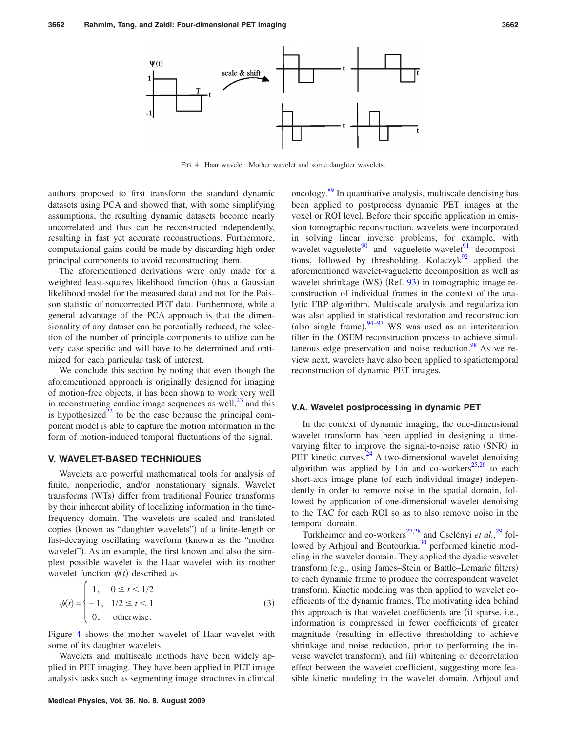<span id="page-8-0"></span>

FIG. 4. Haar wavelet: Mother wavelet and some daughter wavelets.

authors proposed to first transform the standard dynamic datasets using PCA and showed that, with some simplifying assumptions, the resulting dynamic datasets become nearly uncorrelated and thus can be reconstructed independently, resulting in fast yet accurate reconstructions. Furthermore, computational gains could be made by discarding high-order principal components to avoid reconstructing them.

The aforementioned derivations were only made for a weighted least-squares likelihood function (thus a Gaussian likelihood model for the measured data) and not for the Poisson statistic of noncorrected PET data. Furthermore, while a general advantage of the PCA approach is that the dimensionality of any dataset can be potentially reduced, the selection of the number of principle components to utilize can be very case specific and will have to be determined and optimized for each particular task of interest.

We conclude this section by noting that even though the aforementioned approach is originally designed for imaging of motion-free objects, it has been shown to work very well in reconstructing cardiac image sequences as well, $^{23}$  and this is hypothesized<sup>22</sup> to be the case because the principal component model is able to capture the motion information in the form of motion-induced temporal fluctuations of the signal.

# **V. WAVELET-BASED TECHNIQUES**

Wavelets are powerful mathematical tools for analysis of finite, nonperiodic, and/or nonstationary signals. Wavelet transforms (WTs) differ from traditional Fourier transforms by their inherent ability of localizing information in the timefrequency domain. The wavelets are scaled and translated copies (known as "daughter wavelets") of a finite-length or fast-decaying oscillating waveform (known as the "mother wavelet"). As an example, the first known and also the simplest possible wavelet is the Haar wavelet with its mother wavelet function  $\psi(t)$  described as

$$
\psi(t) = \begin{cases}\n1, & 0 \le t < 1/2 \\
-1, & 1/2 \le t < 1 \\
0, & \text{otherwise.} \n\end{cases}
$$
\n(3)

Figure [4](#page-8-0) shows the mother wavelet of Haar wavelet with some of its daughter wavelets.

Wavelets and multiscale methods have been widely applied in PET imaging. They have been applied in PET image analysis tasks such as segmenting image structures in clinical oncology[.89](#page-16-3) In quantitative analysis, multiscale denoising has been applied to postprocess dynamic PET images at the voxel or ROI level. Before their specific application in emission tomographic reconstruction, wavelets were incorporated in solving linear inverse problems, for example, with wavelet-vaguelette<sup>90</sup> and vaguelette-wavelet<sup>91</sup> decompositions, followed by thresholding. Kolaczyk $\frac{92}{2}$  applied the aforementioned wavelet-vaguelette decomposition as well as wavelet shrinkage (WS) (Ref. [93](#page-16-7)) in tomographic image reconstruction of individual frames in the context of the analytic FBP algorithm. Multiscale analysis and regularization was also applied in statistical restoration and reconstruction (also single frame).  $94-97$  $94-97$  WS was used as an interiteration filter in the OSEM reconstruction process to achieve simultaneous edge preservation and noise reduction. $\frac{98}{8}$  As we review next, wavelets have also been applied to spatiotemporal reconstruction of dynamic PET images.

#### **V.A. Wavelet postprocessing in dynamic PET**

In the context of dynamic imaging, the one-dimensional wavelet transform has been applied in designing a timevarying filter to improve the signal-to-noise ratio (SNR) in PET kinetic curves. $24$  A two-dimensional wavelet denoising algorithm was applied by Lin and co-workers<sup>25,[26](#page-14-29)</sup> to each short-axis image plane (of each individual image) independently in order to remove noise in the spatial domain, followed by application of one-dimensional wavelet denoising to the TAC for each ROI so as to also remove noise in the temporal domain.

Turkheimer and co-workers<sup>27[,28](#page-14-31)</sup> and Cselényi *et al.*<sup>[29](#page-14-32)</sup> followed by Arhjoul and Bentourkia,<sup>30</sup> performed kinetic modeling in the wavelet domain. They applied the dyadic wavelet transform (e.g., using James-Stein or Battle-Lemarie filters) to each dynamic frame to produce the correspondent wavelet transform. Kinetic modeling was then applied to wavelet coefficients of the dynamic frames. The motivating idea behind this approach is that wavelet coefficients are (i) sparse, i.e., information is compressed in fewer coefficients of greater magnitude (resulting in effective thresholding to achieve shrinkage and noise reduction, prior to performing the inverse wavelet transform), and (ii) whitening or decorrelation effect between the wavelet coefficient, suggesting more feasible kinetic modeling in the wavelet domain. Arhjoul and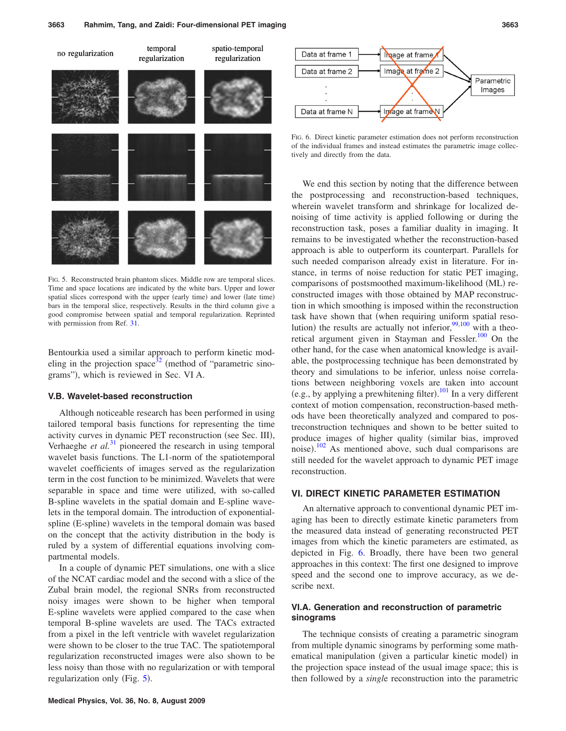<span id="page-9-0"></span>

FIG. 5. Reconstructed brain phantom slices. Middle row are temporal slices. Time and space locations are indicated by the white bars. Upper and lower spatial slices correspond with the upper (early time) and lower (late time) bars in the temporal slice, respectively. Results in the third column give a good compromise between spatial and temporal regularization. Reprinted with permission from Ref. [31.](#page-14-21)

Bentourkia used a similar approach to perform kinetic modeling in the projection space<sup>32</sup> (method of "parametric sinograms"), which is reviewed in Sec. VI A.

### **V.B. Wavelet-based reconstruction**

Although noticeable research has been performed in using tailored temporal basis functions for representing the time activity curves in dynamic PET reconstruction (see Sec. III), Verhaeghe *et al.*<sup>[31](#page-14-21)</sup> pioneered the research in using temporal wavelet basis functions. The L1-norm of the spatiotemporal wavelet coefficients of images served as the regularization term in the cost function to be minimized. Wavelets that were separable in space and time were utilized, with so-called B-spline wavelets in the spatial domain and E-spline wavelets in the temporal domain. The introduction of exponentialspline (E-spline) wavelets in the temporal domain was based on the concept that the activity distribution in the body is ruled by a system of differential equations involving compartmental models.

In a couple of dynamic PET simulations, one with a slice of the NCAT cardiac model and the second with a slice of the Zubal brain model, the regional SNRs from reconstructed noisy images were shown to be higher when temporal E-spline wavelets were applied compared to the case when temporal B-spline wavelets are used. The TACs extracted from a pixel in the left ventricle with wavelet regularization were shown to be closer to the true TAC. The spatiotemporal regularization reconstructed images were also shown to be less noisy than those with no regularization or with temporal regularization only (Fig. [5](#page-9-0)).

<span id="page-9-1"></span>

FIG. 6. Direct kinetic parameter estimation does not perform reconstruction of the individual frames and instead estimates the parametric image collectively and directly from the data.

We end this section by noting that the difference between the postprocessing and reconstruction-based techniques, wherein wavelet transform and shrinkage for localized denoising of time activity is applied following or during the reconstruction task, poses a familiar duality in imaging. It remains to be investigated whether the reconstruction-based approach is able to outperform its counterpart. Parallels for such needed comparison already exist in literature. For instance, in terms of noise reduction for static PET imaging, comparisons of postsmoothed maximum-likelihood (ML) reconstructed images with those obtained by MAP reconstruction in which smoothing is imposed within the reconstruction task have shown that (when requiring uniform spatial resolution) the results are actually not inferior,  $99,100$  $99,100$  with a theoretical argument given in Stayman and Fessler.<sup>100</sup> On the other hand, for the case when anatomical knowledge is available, the postprocessing technique has been demonstrated by theory and simulations to be inferior, unless noise correlations between neighboring voxels are taken into account (e.g., by applying a prewhitening filter).<sup>[101](#page-16-13)</sup> In a very different context of motion compensation, reconstruction-based methods have been theoretically analyzed and compared to postreconstruction techniques and shown to be better suited to produce images of higher quality (similar bias, improved noise). $\frac{102}{2}$  $\frac{102}{2}$  $\frac{102}{2}$  As mentioned above, such dual comparisons are still needed for the wavelet approach to dynamic PET image reconstruction.

### **VI. DIRECT KINETIC PARAMETER ESTIMATION**

An alternative approach to conventional dynamic PET imaging has been to directly estimate kinetic parameters from the measured data instead of generating reconstructed PET images from which the kinetic parameters are estimated, as depicted in Fig. [6.](#page-9-1) Broadly, there have been two general approaches in this context: The first one designed to improve speed and the second one to improve accuracy, as we describe next.

### **VI.A. Generation and reconstruction of parametric sinograms**

The technique consists of creating a parametric sinogram from multiple dynamic sinograms by performing some mathematical manipulation (given a particular kinetic model) in the projection space instead of the usual image space; this is then followed by a *singl*e reconstruction into the parametric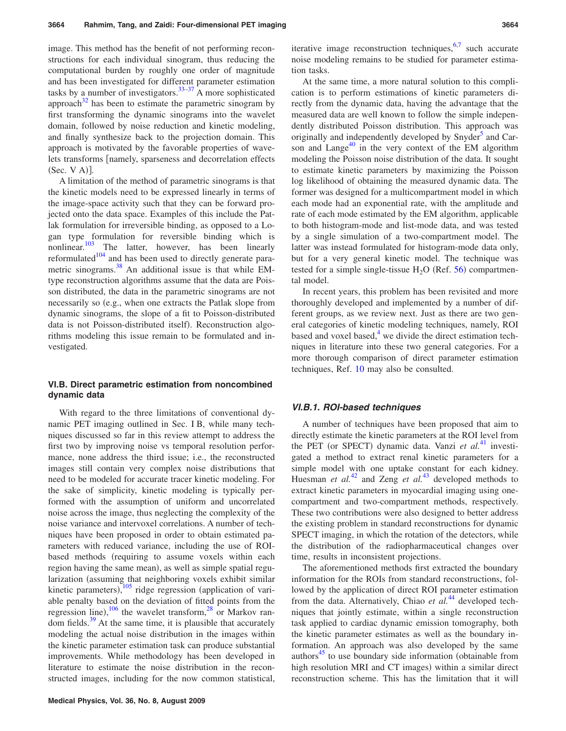image. This method has the benefit of not performing reconstructions for each individual sinogram, thus reducing the computational burden by roughly one order of magnitude and has been investigated for different parameter estimation tasks by a number of investigators.<sup>33-37</sup> A more sophisticated approach<sup>32</sup> has been to estimate the parametric sinogram by first transforming the dynamic sinograms into the wavelet domain, followed by noise reduction and kinetic modeling, and finally synthesize back to the projection domain. This approach is motivated by the favorable properties of wavelets transforms [namely, sparseness and decorrelation effects  $(Sec. V A)].$ 

A limitation of the method of parametric sinograms is that the kinetic models need to be expressed linearly in terms of the image-space activity such that they can be forward projected onto the data space. Examples of this include the Patlak formulation for irreversible binding, as opposed to a Logan type formulation for reversible binding which is nonlinear.<sup>103</sup> The latter, however, has been linearly reformulated<sup>104</sup> and has been used to directly generate parametric sinograms.<sup>38</sup> An additional issue is that while EMtype reconstruction algorithms assume that the data are Poisson distributed, the data in the parametric sinograms are not necessarily so (e.g., when one extracts the Patlak slope from dynamic sinograms, the slope of a fit to Poisson-distributed data is not Poisson-distributed itself). Reconstruction algorithms modeling this issue remain to be formulated and investigated.

### **VI.B. Direct parametric estimation from noncombined dynamic data**

With regard to the three limitations of conventional dynamic PET imaging outlined in Sec. I B, while many techniques discussed so far in this review attempt to address the first two by improving noise vs temporal resolution performance, none address the third issue; i.e., the reconstructed images still contain very complex noise distributions that need to be modeled for accurate tracer kinetic modeling. For the sake of simplicity, kinetic modeling is typically performed with the assumption of uniform and uncorrelated noise across the image, thus neglecting the complexity of the noise variance and intervoxel correlations. A number of techniques have been proposed in order to obtain estimated parameters with reduced variance, including the use of ROIbased methods (requiring to assume voxels within each region having the same mean), as well as simple spatial regularization (assuming that neighboring voxels exhibit similar kinetic parameters),  $\frac{105}{105}$  $\frac{105}{105}$  $\frac{105}{105}$  ridge regression (application of variable penalty based on the deviation of fitted points from the regression line),  $\frac{106}{100}$  $\frac{106}{100}$  $\frac{106}{100}$  the wavelet transform,  $\frac{28}{100}$  or Markov random fields. $39$  At the same time, it is plausible that accurately modeling the actual noise distribution in the images within the kinetic parameter estimation task can produce substantial improvements. While methodology has been developed in literature to estimate the noise distribution in the reconstructed images, including for the now common statistical,

iterative image reconstruction techniques,  $6,7$  $6,7$  such accurate noise modeling remains to be studied for parameter estimation tasks.

At the same time, a more natural solution to this complication is to perform estimations of kinetic parameters directly from the dynamic data, having the advantage that the measured data are well known to follow the simple independently distributed Poisson distribution. This approach was originally and independently developed by Snyder<sup>3</sup> and Carson and Lange $40$  in the very context of the EM algorithm modeling the Poisson noise distribution of the data. It sought to estimate kinetic parameters by maximizing the Poisson log likelihood of obtaining the measured dynamic data. The former was designed for a multicompartment model in which each mode had an exponential rate, with the amplitude and rate of each mode estimated by the EM algorithm, applicable to both histogram-mode and list-mode data, and was tested by a single simulation of a two-compartment model. The latter was instead formulated for histogram-mode data only, but for a very general kinetic model. The technique was tested for a simple single-tissue  $H_2O$  (Ref. [56](#page-15-26)) compartmental model.

In recent years, this problem has been revisited and more thoroughly developed and implemented by a number of different groups, as we review next. Just as there are two general categories of kinetic modeling techniques, namely, ROI based and voxel based, $4$  we divide the direct estimation techniques in literature into these two general categories. For a more thorough comparison of direct parameter estimation techniques, Ref. [10](#page-14-8) may also be consulted.

### *VI.B.1. ROI-based techniques*

A number of techniques have been proposed that aim to directly estimate the kinetic parameters at the ROI level from the PET (or SPECT) dynamic data. Vanzi *et al.*<sup>[41](#page-15-27)</sup> investigated a method to extract renal kinetic parameters for a simple model with one uptake constant for each kidney. Huesman *et al.*<sup>[42](#page-15-28)</sup> and Zeng *et al.*<sup>[43](#page-15-29)</sup> developed methods to extract kinetic parameters in myocardial imaging using onecompartment and two-compartment methods, respectively. These two contributions were also designed to better address the existing problem in standard reconstructions for dynamic SPECT imaging, in which the rotation of the detectors, while the distribution of the radiopharmaceutical changes over time, results in inconsistent projections.

The aforementioned methods first extracted the boundary information for the ROIs from standard reconstructions, followed by the application of direct ROI parameter estimation from the data. Alternatively, Chiao *et al.*<sup>[44](#page-15-30)</sup> developed techniques that jointly estimate, within a single reconstruction task applied to cardiac dynamic emission tomography, both the kinetic parameter estimates as well as the boundary information. An approach was also developed by the same authors $45$  to use boundary side information (obtainable from high resolution MRI and CT images) within a similar direct reconstruction scheme. This has the limitation that it will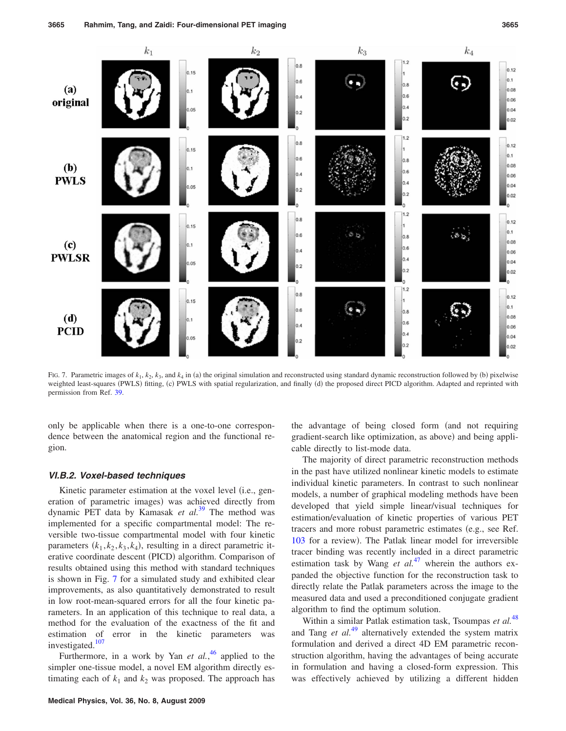<span id="page-11-0"></span>

FIG. 7. Parametric images of  $k_1$ ,  $k_2$ ,  $k_3$ , and  $k_4$  in (a) the original simulation and reconstructed using standard dynamic reconstruction followed by (b) pixelwise weighted least-squares (PWLS) fitting, (c) PWLS with spatial regularization, and finally (d) the proposed direct PICD algorithm. Adapted and reprinted with permission from Ref. [39.](#page-14-24)

only be applicable when there is a one-to-one correspondence between the anatomical region and the functional region.

### *VI.B.2. Voxel-based techniques*

Kinetic parameter estimation at the voxel level (i.e., generation of parametric images) was achieved directly from dynamic PET data by Kamasak *et al.*[39](#page-14-24) The method was implemented for a specific compartmental model: The reversible two-tissue compartmental model with four kinetic parameters  $(k_1, k_2, k_3, k_4)$ , resulting in a direct parametric iterative coordinate descent (PICD) algorithm. Comparison of results obtained using this method with standard techniques is shown in Fig. [7](#page-11-0) for a simulated study and exhibited clear improvements, as also quantitatively demonstrated to result in low root-mean-squared errors for all the four kinetic parameters. In an application of this technique to real data, a method for the evaluation of the exactness of the fit and estimation of error in the kinetic parameters was investigated.<sup>107</sup>

Furthermore, in a work by Yan *et al.*<sup>[46](#page-15-32)</sup> applied to the simpler one-tissue model, a novel EM algorithm directly estimating each of  $k_1$  and  $k_2$  was proposed. The approach has

the advantage of being closed form (and not requiring gradient-search like optimization, as above) and being applicable directly to list-mode data.

The majority of direct parametric reconstruction methods in the past have utilized nonlinear kinetic models to estimate individual kinetic parameters. In contrast to such nonlinear models, a number of graphical modeling methods have been developed that yield simple linear/visual techniques for estimation/evaluation of kinetic properties of various PET tracers and more robust parametric estimates (e.g., see Ref. [103](#page-16-15) for a review). The Patlak linear model for irreversible tracer binding was recently included in a direct parametric estimation task by Wang *et al.*<sup>[47](#page-15-33)</sup> wherein the authors expanded the objective function for the reconstruction task to directly relate the Patlak parameters across the image to the measured data and used a preconditioned conjugate gradient algorithm to find the optimum solution.

Within a similar Patlak estimation task, Tsoumpas *et al.*[48](#page-15-34) and Tang *et al.*[49](#page-15-35) alternatively extended the system matrix formulation and derived a direct 4D EM parametric reconstruction algorithm, having the advantages of being accurate in formulation and having a closed-form expression. This was effectively achieved by utilizing a different hidden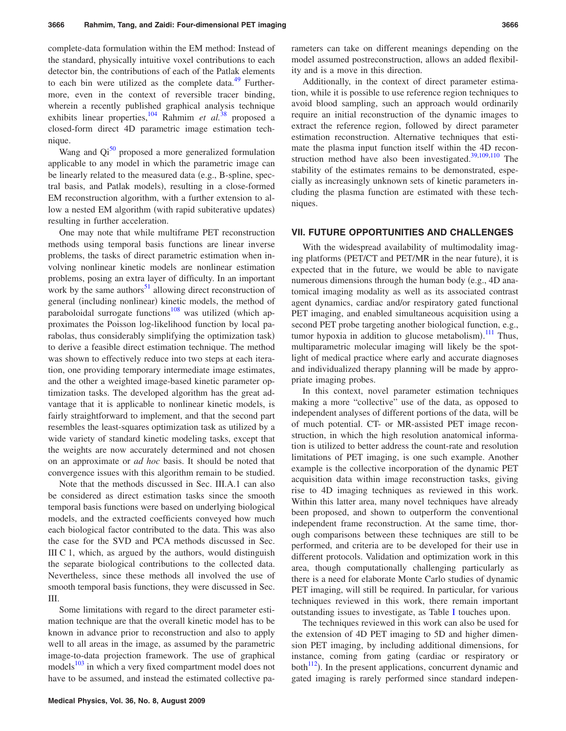complete-data formulation within the EM method: Instead of the standard, physically intuitive voxel contributions to each detector bin, the contributions of each of the Patlak elements to each bin were utilized as the complete data. $49$  Furthermore, even in the context of reversible tracer binding, wherein a recently published graphical analysis technique exhibits linear properties,<sup>104</sup> Rahmim *et al.*<sup>[38](#page-14-23)</sup> proposed a closed-form direct 4D parametric image estimation technique.

Wang and  $Qi^{50}$  proposed a more generalized formulation applicable to any model in which the parametric image can be linearly related to the measured data (e.g., B-spline, spectral basis, and Patlak models), resulting in a close-formed EM reconstruction algorithm, with a further extension to allow a nested EM algorithm (with rapid subiterative updates) resulting in further acceleration.

One may note that while multiframe PET reconstruction methods using temporal basis functions are linear inverse problems, the tasks of direct parametric estimation when involving nonlinear kinetic models are nonlinear estimation problems, posing an extra layer of difficulty. In an important work by the same authors $51$  allowing direct reconstruction of general (including nonlinear) kinetic models, the method of paraboloidal surrogate functions<sup>108</sup> was utilized (which approximates the Poisson log-likelihood function by local parabolas, thus considerably simplifying the optimization task) to derive a feasible direct estimation technique. The method was shown to effectively reduce into two steps at each iteration, one providing temporary intermediate image estimates, and the other a weighted image-based kinetic parameter optimization tasks. The developed algorithm has the great advantage that it is applicable to nonlinear kinetic models, is fairly straightforward to implement, and that the second part resembles the least-squares optimization task as utilized by a wide variety of standard kinetic modeling tasks, except that the weights are now accurately determined and not chosen on an approximate or *ad hoc* basis. It should be noted that convergence issues with this algorithm remain to be studied.

Note that the methods discussed in Sec. III.A.1 can also be considered as direct estimation tasks since the smooth temporal basis functions were based on underlying biological models, and the extracted coefficients conveyed how much each biological factor contributed to the data. This was also the case for the SVD and PCA methods discussed in Sec. III C 1, which, as argued by the authors, would distinguish the separate biological contributions to the collected data. Nevertheless, since these methods all involved the use of smooth temporal basis functions, they were discussed in Sec. III.

Some limitations with regard to the direct parameter estimation technique are that the overall kinetic model has to be known in advance prior to reconstruction and also to apply well to all areas in the image, as assumed by the parametric image-to-data projection framework. The use of graphical models<sup>103</sup> in which a very fixed compartment model does not have to be assumed, and instead the estimated collective parameters can take on different meanings depending on the model assumed postreconstruction, allows an added flexibility and is a move in this direction.

Additionally, in the context of direct parameter estimation, while it is possible to use reference region techniques to avoid blood sampling, such an approach would ordinarily require an initial reconstruction of the dynamic images to extract the reference region, followed by direct parameter estimation reconstruction. Alternative techniques that estimate the plasma input function itself within the 4D reconstruction method have also been investigated. $39,109,110$  $39,109,110$  $39,109,110$  The stability of the estimates remains to be demonstrated, especially as increasingly unknown sets of kinetic parameters including the plasma function are estimated with these techniques.

#### **VII. FUTURE OPPORTUNITIES AND CHALLENGES**

With the widespread availability of multimodality imaging platforms (PET/CT and PET/MR in the near future), it is expected that in the future, we would be able to navigate numerous dimensions through the human body (e.g., 4D anatomical imaging modality as well as its associated contrast agent dynamics, cardiac and/or respiratory gated functional PET imaging, and enabled simultaneous acquisition using a second PET probe targeting another biological function, e.g., tumor hypoxia in addition to glucose metabolism).<sup>[111](#page-16-22)</sup> Thus, multiparametric molecular imaging will likely be the spotlight of medical practice where early and accurate diagnoses and individualized therapy planning will be made by appropriate imaging probes.

In this context, novel parameter estimation techniques making a more "collective" use of the data, as opposed to independent analyses of different portions of the data, will be of much potential. CT- or MR-assisted PET image reconstruction, in which the high resolution anatomical information is utilized to better address the count-rate and resolution limitations of PET imaging, is one such example. Another example is the collective incorporation of the dynamic PET acquisition data within image reconstruction tasks, giving rise to 4D imaging techniques as reviewed in this work. Within this latter area, many novel techniques have already been proposed, and shown to outperform the conventional independent frame reconstruction. At the same time, thorough comparisons between these techniques are still to be performed, and criteria are to be developed for their use in different protocols. Validation and optimization work in this area, though computationally challenging particularly as there is a need for elaborate Monte Carlo studies of dynamic PET imaging, will still be required. In particular, for various techniques reviewed in this work, there remain important outstanding issues to investigate, as Table [I](#page-2-0) touches upon.

The techniques reviewed in this work can also be used for the extension of 4D PET imaging to 5D and higher dimension PET imaging, by including additional dimensions, for instance, coming from gating (cardiac or respiratory or both $^{112}$  $^{112}$  $^{112}$ ). In the present applications, concurrent dynamic and gated imaging is rarely performed since standard indepen-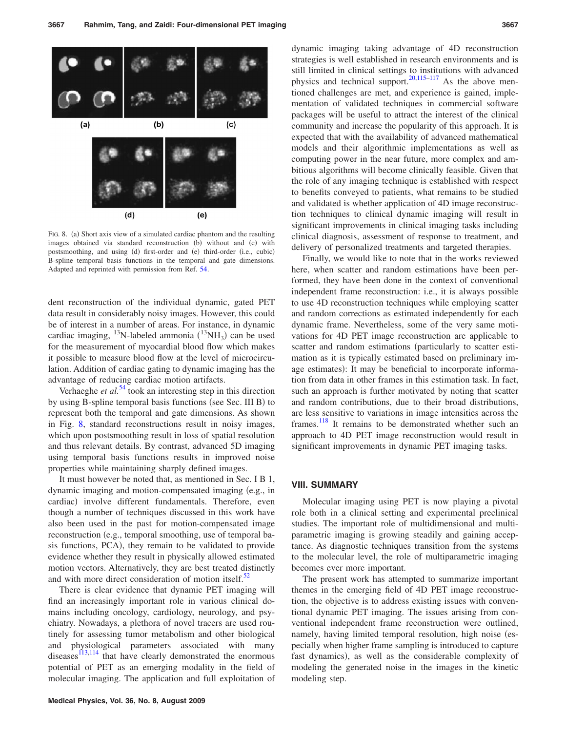<span id="page-13-0"></span>

FIG. 8. (a) Short axis view of a simulated cardiac phantom and the resulting images obtained via standard reconstruction (b) without and (c) with postsmoothing, and using (d) first-order and (e) third-order (i.e., cubic) B-spline temporal basis functions in the temporal and gate dimensions. Adapted and reprinted with permission from Ref. [54.](#page-15-2)

dent reconstruction of the individual dynamic, gated PET data result in considerably noisy images. However, this could be of interest in a number of areas. For instance, in dynamic cardiac imaging, <sup>13</sup>N-labeled ammonia  $(^{13}NH_3)$  can be used for the measurement of myocardial blood flow which makes it possible to measure blood flow at the level of microcirculation. Addition of cardiac gating to dynamic imaging has the advantage of reducing cardiac motion artifacts.

Verhaeghe *et al.*<sup>[54](#page-15-2)</sup> took an interesting step in this direction by using B-spline temporal basis functions (see Sec. III B) to represent both the temporal and gate dimensions. As shown in Fig. [8,](#page-13-0) standard reconstructions result in noisy images, which upon postsmoothing result in loss of spatial resolution and thus relevant details. By contrast, advanced 5D imaging using temporal basis functions results in improved noise properties while maintaining sharply defined images.

It must however be noted that, as mentioned in Sec. I B 1, dynamic imaging and motion-compensated imaging (e.g., in cardiac) involve different fundamentals. Therefore, even though a number of techniques discussed in this work have also been used in the past for motion-compensated image reconstruction (e.g., temporal smoothing, use of temporal basis functions, PCA), they remain to be validated to provide evidence whether they result in physically allowed estimated motion vectors. Alternatively, they are best treated distinctly and with more direct consideration of motion itself. $52$ 

There is clear evidence that dynamic PET imaging will find an increasingly important role in various clinical domains including oncology, cardiology, neurology, and psychiatry. Nowadays, a plethora of novel tracers are used routinely for assessing tumor metabolism and other biological and physiological parameters associated with many diseases $113,114$  $113,114$  that have clearly demonstrated the enormous potential of PET as an emerging modality in the field of molecular imaging. The application and full exploitation of

dynamic imaging taking advantage of 4D reconstruction strategies is well established in research environments and is still limited in clinical settings to institutions with advanced physics and technical support.<sup>20[,115](#page-16-26)[–117](#page-16-27)</sup> As the above mentioned challenges are met, and experience is gained, implementation of validated techniques in commercial software packages will be useful to attract the interest of the clinical community and increase the popularity of this approach. It is expected that with the availability of advanced mathematical models and their algorithmic implementations as well as computing power in the near future, more complex and ambitious algorithms will become clinically feasible. Given that the role of any imaging technique is established with respect to benefits conveyed to patients, what remains to be studied and validated is whether application of 4D image reconstruction techniques to clinical dynamic imaging will result in significant improvements in clinical imaging tasks including clinical diagnosis, assessment of response to treatment, and delivery of personalized treatments and targeted therapies.

Finally, we would like to note that in the works reviewed here, when scatter and random estimations have been performed, they have been done in the context of conventional independent frame reconstruction: i.e., it is always possible to use 4D reconstruction techniques while employing scatter and random corrections as estimated independently for each dynamic frame. Nevertheless, some of the very same motivations for 4D PET image reconstruction are applicable to scatter and random estimations (particularly to scatter estimation as it is typically estimated based on preliminary image estimates): It may be beneficial to incorporate information from data in other frames in this estimation task. In fact, such an approach is further motivated by noting that scatter and random contributions, due to their broad distributions, are less sensitive to variations in image intensities across the frames.<sup>118</sup> It remains to be demonstrated whether such an approach to 4D PET image reconstruction would result in significant improvements in dynamic PET imaging tasks.

### **VIII. SUMMARY**

Molecular imaging using PET is now playing a pivotal role both in a clinical setting and experimental preclinical studies. The important role of multidimensional and multiparametric imaging is growing steadily and gaining acceptance. As diagnostic techniques transition from the systems to the molecular level, the role of multiparametric imaging becomes ever more important.

The present work has attempted to summarize important themes in the emerging field of 4D PET image reconstruction, the objective is to address existing issues with conventional dynamic PET imaging. The issues arising from conventional independent frame reconstruction were outlined, namely, having limited temporal resolution, high noise (especially when higher frame sampling is introduced to capture fast dynamics), as well as the considerable complexity of modeling the generated noise in the images in the kinetic modeling step.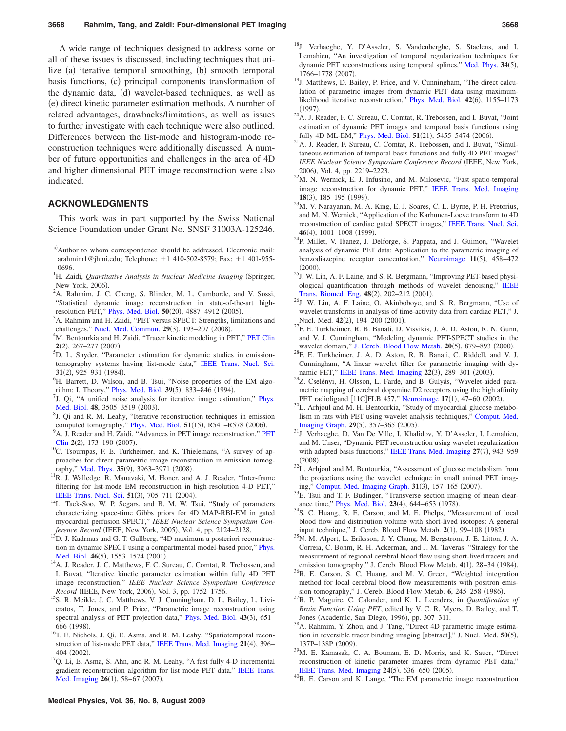A wide range of techniques designed to address some or all of these issues is discussed, including techniques that utilize (a) iterative temporal smoothing, (b) smooth temporal basis functions, (c) principal components transformation of the dynamic data, (d) wavelet-based techniques, as well as (e) direct kinetic parameter estimation methods. A number of related advantages, drawbacks/limitations, as well as issues to further investigate with each technique were also outlined. Differences between the list-mode and histogram-mode reconstruction techniques were additionally discussed. A number of future opportunities and challenges in the area of 4D and higher dimensional PET image reconstruction were also indicated.

# **ACKNOWLEDGMENTS**

This work was in part supported by the Swiss National Science Foundation under Grant No. SNSF 31003A-125246.

- <span id="page-14-0"></span>a) Author to whom correspondence should be addressed. Electronic mail: arahmim1@jhmi.edu; Telephone: +1 410-502-8579; Fax: +1 401-955-0696.
- <span id="page-14-1"></span><sup>1</sup>H. Zaidi, *Quantitative Analysis in Nuclear Medicine Imaging* (Springer, New York, 2006).
- <sup>2</sup>A. Rahmim, J. C. Cheng, S. Blinder, M. L. Camborde, and V. Sossi, "Statistical dynamic image reconstruction in state-of-the-art high-resolution PET," [Phys. Med. Biol.](http://dx.doi.org/10.1088/0031-9155/50/20/010)  $\mathbf{50}(20)$ ,  $4887-4912$  (2005).<br><sup>3</sup>A. Behmim and H. Zaidi. "DET versus SDECT: Strangthe limit
- <span id="page-14-2"></span><sup>3</sup>A. Rahmim and H. Zaidi, "PET versus SPECT: Strengths, limitations and challenges," [Nucl. Med. Commun.](http://dx.doi.org/10.1097/MNM.0b013e3282f3a515)  $29(3)$ ,  $193-207$  (2008).<br><sup>4</sup>M. Bentourkie and H. Zaidi. "Treeer kinetia modeling in Bl.
- <span id="page-14-3"></span><sup>4</sup>M. Bentourkia and H. Zaidi, "Tracer kinetic modeling in PET," [PET Clin](http://dx.doi.org/10.1016/j.cpet.2007.08.003)  $2(2)$ , 267–277 (2007).
- <span id="page-14-4"></span><sup>5</sup>D. L. Snyder, "Parameter estimation for dynamic studies in emissiontomography systems having list-mode data," [IEEE Trans. Nucl. Sci.](http://dx.doi.org/10.1109/TNS.1984.4333400) 31(2), 925–931 (1984).
- <span id="page-14-5"></span><sup>6</sup>H. Barrett, D. Wilson, and B. Tsui, "Noise properties of the EM algo-rithm: I. Theory," [Phys. Med. Biol.](http://dx.doi.org/10.1088/0031-9155/39/5/004) **39**(5), 833–846 (1994).
- <span id="page-14-6"></span><sup>7</sup>J. Qi, "A unified noise analysis for iterative image estimation," [Phys.](http://dx.doi.org/10.1088/0031-9155/48/21/004) [Med. Biol.](http://dx.doi.org/10.1088/0031-9155/48/21/004) 48, 3505–3519 (2003).
- <span id="page-14-7"></span> ${}^{8}$ J. Qi and R. M. Leahy, "Iterative reconstruction techniques in emission
- <span id="page-14-25"></span>computed tomography," [Phys. Med. Biol.](http://dx.doi.org/10.1088/0031-9155/51/15/R01) **51**(15), R541–R578 (2006). <sup>9</sup>A. J. Reader and H. Zaidi, "Advances in [PET](http://dx.doi.org/10.1016/j.cpet.2007.08.001) image reconstruction," PET [Clin](http://dx.doi.org/10.1016/j.cpet.2007.08.001) 2(2), 173-190 (2007)
- <span id="page-14-8"></span><sup>10</sup>C. Tsoumpas, F. E. Turkheimer, and K. Thielemans, "A survey of approaches for direct parametric image reconstruction in emission tomog-raphy," [Med. Phys.](http://dx.doi.org/10.1118/1.2966349) 35(9), 3963-3971 (2008)
- <span id="page-14-9"></span> ${}^{11}R$ . J. Walledge, R. Manavaki, M. Honer, and A. J. Reader, "Inter-frame filtering for list-mode EM reconstruction in high-resolution 4-D PET," [IEEE Trans. Nucl. Sci.](http://dx.doi.org/10.1109/TNS.2004.829783) 51(3), 705-711 (2004)
- <span id="page-14-10"></span><sup>12</sup>L. Taek-Soo, W. P. Segars, and B. M. W. Tsui, "Study of parameters characterizing space-time Gibbs priors for 4D MAP-RBI-EM in gated myocardial perfusion SPECT," *IEEE Nuclear Science Symposium Conference Record* (IEEE, New York, 2005), Vol. 4, pp. 2124-2128.
- <span id="page-14-11"></span>13D. J. Kadrmas and G. T. Gullberg, "4D maximum a posteriori reconstruction in dynamic SPECT using a compartmental model-based prior," [Phys.](http://dx.doi.org/10.1088/0031-9155/46/5/315) [Med. Biol.](http://dx.doi.org/10.1088/0031-9155/46/5/315) 46(5), 1553-1574 (2001)
- <span id="page-14-12"></span><sup>14</sup>A. J. Reader, J. C. Matthews, F. C. Sureau, C. Comtat, R. Trebossen, and I. Buvat, "Iterative kinetic parameter estimation within fully 4D PET image reconstruction," *IEEE Nuclear Science Symposium Conference Record* (IEEE, New York, 2006), Vol. 3, pp. 1752-1756.
- <span id="page-14-13"></span><sup>15</sup>S. R. Meikle, J. C. Matthews, V. J. Cunningham, D. L. Bailey, L. Livieratos, T. Jones, and P. Price, "Parametric image reconstruction using spectral analysis of PET projection data," [Phys. Med. Biol.](http://dx.doi.org/10.1088/0031-9155/43/3/016) 43(3), 651-666 (1998).
- <span id="page-14-14"></span><sup>16</sup>T. E. Nichols, J. Qi, E. Asma, and R. M. Leahy, "Spatiotemporal recon-struction of list-mode PET data," [IEEE Trans. Med. Imaging](http://dx.doi.org/10.1109/TMI.2002.1000263) 21(4), 396-404 (2002).
- <span id="page-14-26"></span> $17Q$ . Li, E. Asma, S. Ahn, and R. M. Leahy, "A fast fully 4-D incremental gradient reconstruction algorithm for list mode PET data," [IEEE Trans.](http://dx.doi.org/10.1109/TMI.2006.884208) [Med. Imaging](http://dx.doi.org/10.1109/TMI.2006.884208) 26(1), 58-67 (2007).
- <span id="page-14-15"></span>18J. Verhaeghe, Y. D'Asseler, S. Vandenberghe, S. Staelens, and I. Lemahieu, "An investigation of temporal regularization techniques for dynamic PET reconstructions using temporal splines," [Med. Phys.](http://dx.doi.org/10.1118/1.2723879) 34(5), 1766–1778 (2007).
- <span id="page-14-16"></span><sup>19</sup>J. Matthews, D. Bailey, P. Price, and V. Cunningham, "The direct calculation of parametric images from dynamic PET data using maximum-likelihood iterative reconstruction," [Phys. Med. Biol.](http://dx.doi.org/10.1088/0031-9155/42/6/012) 42(6), 1155-1173  $(1997)$ .
- <span id="page-14-27"></span><sup>20</sup>A. J. Reader, F. C. Sureau, C. Comtat, R. Trebossen, and I. Buvat, "Joint estimation of dynamic PET images and temporal basis functions using fully 4D ML-EM," [Phys. Med. Biol.](http://dx.doi.org/10.1088/0031-9155/51/21/005) 51(21), 5455-5474 (2006)
- <span id="page-14-17"></span>. 21A. J. Reader, F. Sureau, C. Comtat, R. Trebossen, and I. Buvat, "Simultaneous estimation of temporal basis functions and fully 4D PET images" *IEEE Nuclear Science Symposium Conference Record* IEEE, New York, 2006), Vol. 4, pp. 2219-2223.
- <span id="page-14-18"></span> $^{22}$ M. N. Wernick, E. J. Infusino, and M. Milosevic, "Fast spatio-temporal image reconstruction for dynamic PET," [IEEE Trans. Med. Imaging](http://dx.doi.org/10.1109/42.764885) 18(3), 185-195 (1999)
- <sup>23</sup>M. V. Narayanan, M. A. King, E. J. Soares, C. L. Byrne, P. H. Pretorius, and M. N. Wernick, "Application of the Karhunen-Loeve transform to 4D reconstruction of cardiac gated SPECT images," [IEEE Trans. Nucl. Sci.](http://dx.doi.org/10.1109/23.790811) 46(4), 1001–1008 (1999)
- <span id="page-14-19"></span><sup>24</sup>P. Millet, V. Ibanez, J. Delforge, S. Pappata, and J. Guimon, "Wavelet analysis of dynamic PET data: Application to the parametric imaging of benzodiazepine receptor concentration," [Neuroimage](http://dx.doi.org/10.1006/nimg.2000.0563) 11(5), 458-472  $(2000)$ .
- <span id="page-14-28"></span><sup>25</sup>J. W. Lin, A. F. Laine, and S. R. Bergmann, "Improving PET-based physiological quantification through methods of wavelet denoising," [IEEE](http://dx.doi.org/10.1109/10.909641) [Trans. Biomed. Eng.](http://dx.doi.org/10.1109/10.909641) 48(2), 202-212 (2001)
- <span id="page-14-29"></span><sup>26</sup>J. W. Lin, A. F. Laine, O. Akinboboye, and S. R. Bergmann, "Use of wavelet transforms in analysis of time-activity data from cardiac PET," J. Nucl. Med. 42(2), 194-200 (2001)
- <span id="page-14-30"></span> $27$ F. E. Turkheimer, R. B. Banati, D. Visvikis, J. A. D. Aston, R. N. Gunn, and V. J. Cunningham, "Modeling dynamic PET-SPECT studies in the wavelet domain," [J. Cereb. Blood Flow Metab.](http://dx.doi.org/10.1097/00004647-200005000-00015) 20(5), 879-893 (2000)
- <span id="page-14-31"></span> $^{28}$ F. E. Turkheimer, J. A. D. Aston, R. B. Banati, C. Riddell, and V. J. Cunningham, "A linear wavelet filter for parametric imaging with dy-namic PET," [IEEE Trans. Med. Imaging](http://dx.doi.org/10.1109/TMI.2003.809597) 22(3), 289-301 (2003)
- <span id="page-14-32"></span><sup>29</sup>Z. Cselényi, H. Olsson, L. Farde, and B. Gulyás, "Wavelet-aided parametric mapping of cerebral dopamine D2 receptors using the high affinity PET radioligand [11C]FLB 457," [Neuroimage](http://dx.doi.org/10.1006/nimg.2002.1152) 17(1), 47-60 (2002)
- <span id="page-14-20"></span><sup>30</sup>L. Arhjoul and M. H. Bentourkia, "Study of myocardial glucose metabolism in rats with PET using wavelet analysis techniques," [Comput. Med.](http://dx.doi.org/10.1016/j.compmedimag.2005.01.001) [Imaging Graph.](http://dx.doi.org/10.1016/j.compmedimag.2005.01.001) 29(5), 357-365 (2005)
- <span id="page-14-21"></span><sup>31</sup>J. Verhaeghe, D. Van De Ville, I. Khalidov, Y. D'Asseler, I. Lemahieu, and M. Unser, "Dynamic PET reconstruction using wavelet regularization with adapted basis functions," [IEEE Trans. Med. Imaging](http://dx.doi.org/10.1109/TMI.2008.923698) 27(7), 943-959  $(2008)$
- <span id="page-14-22"></span><sup>32</sup>L. Arhjoul and M. Bentourkia, "Assessment of glucose metabolism from the projections using the wavelet technique in small animal PET imag-ing," [Comput. Med. Imaging Graph.](http://dx.doi.org/10.1016/j.compmedimag.2006.12.003) 31(3), 157-165 (2007)
- <span id="page-14-33"></span><sup>33</sup>E. Tsui and T. F. Budinger, "Transverse section imaging of mean clear-ance time," [Phys. Med. Biol.](http://dx.doi.org/10.1088/0031-9155/23/4/007) 23(4), 644–653 (1978)
- <sup>34</sup>S. C. Huang, R. E. Carson, and M. E. Phelps, "Measurement of local blood flow and distribution volume with short-lived isotopes: A general input technique," J. Cereb. Blood Flow Metab. 2(1), 99-108 (1982)
- . 35N. M. Alpert, L. Eriksson, J. Y. Chang, M. Bergstrom, J. E. Litton, J. A. Correia, C. Bohm, R. H. Ackerman, and J. M. Taveras, "Strategy for the measurement of regional cerebral blood flow using short-lived tracers and emission tomography," J. Cereb. Blood Flow Metab. 4(1), 28-34 (1984)
- <sup>36</sup>R. E. Carson, S. C. Huang, and M. V. Green, "Weighted integration method for local cerebral blood flow measurements with positron emission tomography," J. Cereb. Blood Flow Metab. **6**, 245-258 (1986).
- <span id="page-14-34"></span>. 37R. P. Maguire, C. Calonder, and K. L. Leenders, in *Quantification of Brain Function Using PET*, edited by V. C. R. Myers, D. Bailey, and T. Jones (Academic, San Diego, 1996), pp. 307-311.
- <span id="page-14-23"></span><sup>38</sup>A. Rahmim, Y. Zhou, and J. Tang, "Direct 4D parametric image estimation in reversible tracer binding imaging [abstract]," J. Nucl. Med. 50(5), 137P-138P (2009).
- <span id="page-14-24"></span><sup>39</sup>M. E. Kamasak, C. A. Bouman, E. D. Morris, and K. Sauer, "Direct reconstruction of kinetic parameter images from dynamic PET data," [IEEE Trans. Med. Imaging](http://dx.doi.org/10.1109/TMI.2005.845317) 24(5), 636-650 (2005)
- <span id="page-14-35"></span> $^{40}$ R. E. Carson and K. Lange, "The EM parametric image reconstruction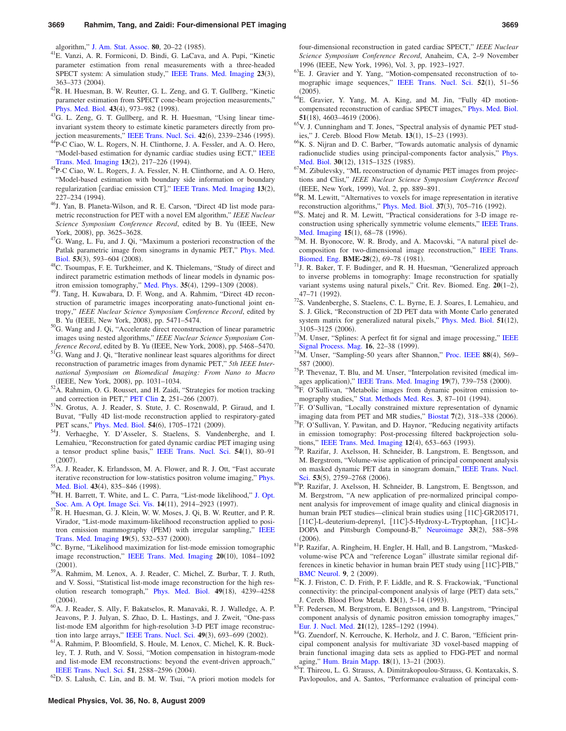algorithm," [J. Am. Stat. Assoc.](http://dx.doi.org/10.2307/2288031) 80, 20-22 (1985).

- <span id="page-15-27"></span>. 41E. Vanzi, A. R. Formiconi, D. Bindi, G. LaCava, and A. Pupi, "Kinetic parameter estimation from renal measurements with a three-headed SPECT system: A simulation study," [IEEE Trans. Med. Imaging](http://dx.doi.org/10.1109/TMI.2004.824149) 23(3), 363-373 (2004).
- <span id="page-15-28"></span> $^{42}R$ . H. Huesman, B. W. Reutter, G. L. Zeng, and G. T. Gullberg, "Kinetic parameter estimation from SPECT cone-beam projection measurements," [Phys. Med. Biol.](http://dx.doi.org/10.1088/0031-9155/43/4/024) 43(4), 973-982 (1998)
- <span id="page-15-29"></span><sup>43</sup>G. L. Zeng, G. T. Gullberg, and R. H. Huesman, "Using linear timeinvariant system theory to estimate kinetic parameters directly from pro-jection measurements," [IEEE Trans. Nucl. Sci.](http://dx.doi.org/10.1109/23.489438) 42(6), 2339-2346 (1995)
- <span id="page-15-30"></span><sup>44</sup>P-C Ciao, W. L. Rogers, N. H. Clinthorne, J. A. Fessler, and A. O. Hero, "Model-based estimation for dynamic cardiac studies using ECT," [IEEE](http://dx.doi.org/10.1109/42.293914) [Trans. Med. Imaging](http://dx.doi.org/10.1109/42.293914) 13(2), 217-226 (1994)
- <span id="page-15-31"></span>. 45P-C Ciao, W. L. Rogers, J. A. Fessler, N. H. Clinthorne, and A. O. Hero, "Model-based estimation with boundary side information or boundary regularization [cardiac emission CT]," [IEEE Trans. Med. Imaging](http://dx.doi.org/10.1109/42.293915) 13(2), 227–234 (1994).
- <span id="page-15-32"></span><sup>46</sup>J. Yan, B. Planeta-Wilson, and R. E. Carson, "Direct 4D list mode parametric reconstruction for PET with a novel EM algorithm," *IEEE Nuclear Science Symposium Conference Record*, edited by B. Yu IEEE, New York, 2008), pp. 3625-3628.
- <span id="page-15-33"></span> $47<sup>47</sup>G$ . Wang, L. Fu, and J. Qi, "Maximum a posteriori reconstruction of the Patlak parametric image from sinograms in dynamic PET," [Phys. Med.](http://dx.doi.org/10.1088/0031-9155/53/3/006) [Biol.](http://dx.doi.org/10.1088/0031-9155/53/3/006) 53(3), 593-604 (2008)
- <span id="page-15-34"></span><sup>48</sup>C. Tsoumpas, F. E. Turkheimer, and K. Thielemans, "Study of direct and indirect parametric estimation methods of linear models in dynamic pos-itron emission tomography," [Med. Phys.](http://dx.doi.org/10.1118/1.2885369) 35(4), 1299-1309 (2008)
- <span id="page-15-35"></span><sup>49</sup>J. Tang, H. Kuwabara, D. F. Wong, and A. Rahmim, "Direct 4D reconstruction of parametric images incorporating anato-functional joint entropy," *IEEE Nuclear Science Symposium Conference Record*, edited by B. Yu (IEEE, New York, 2008), pp. 5471–5474.
- <span id="page-15-36"></span> $50$ G. Wang and J. Qi, "Accelerate direct reconstruction of linear parametric images using nested algorithms," *IEEE Nuclear Science Symposium Conference Record*, edited by B. Yu (IEEE, New York, 2008), pp. 5468-5470.
- <span id="page-15-8"></span> $51<sup>51</sup>G$ . Wang and J. Qi, "Iterative nonlinear least squares algorithms for direct reconstruction of parametric images from dynamic PET," *5th IEEE International Symposium on Biomedical Imaging: From Nano to Macro* (IEEE, New York, 2008), pp. 1031-1034.
- <span id="page-15-0"></span> ${}^{52}$ A. Rahmim, O. G. Rousset, and H. Zaidi, "Strategies for motion tracking and correction in PET," [PET Clin](http://dx.doi.org/10.1016/j.cpet.2007.08.002) 2, 251-266 (2007).
- <span id="page-15-1"></span>. 53N. Grotus, A. J. Reader, S. Stute, J. C. Rosenwald, P. Giraud, and I. Buvat, "Fully 4D list-mode reconstruction applied to respiratory-gated PET scans," [Phys. Med. Biol.](http://dx.doi.org/10.1088/0031-9155/54/6/020) 54(6), 1705-1721 (2009)
- <span id="page-15-2"></span>. 54J. Verhaeghe, Y. D'Asseler, S. Staelens, S. Vandenberghe, and I. Lemahieu, "Reconstruction for gated dynamic cardiac PET imaging using a tensor product spline basis," [IEEE Trans. Nucl. Sci.](http://dx.doi.org/10.1109/TNS.2006.888814) 54(1), 80-91  $(2007).$
- <span id="page-15-3"></span><sup>55</sup>A. J. Reader, K. Erlandsson, M. A. Flower, and R. J. Ott, "Fast accurate iterative reconstruction for low-statistics positron volume imaging," [Phys.](http://dx.doi.org/10.1088/0031-9155/43/4/012) [Med. Biol.](http://dx.doi.org/10.1088/0031-9155/43/4/012) 43(4), 835-846 (1998)
- <span id="page-15-26"></span><sup>56</sup>H. H. Barrett, T. White, and L. C. Parra, "List-mode likelihood," [J. Opt.](http://dx.doi.org/10.1364/JOSAA.14.002914) [Soc. Am. A Opt. Image Sci. Vis.](http://dx.doi.org/10.1364/JOSAA.14.002914) 14(11), 2914-2923 (1997)
- . 57R. H. Huesman, G. J. Klein, W. W. Moses, J. Qi, B. W. Reutter, and P. R. Virador, "List-mode maximum-likelihood reconstruction applied to posi-tron emission mammography (PEM) with irregular sampling," [IEEE](http://dx.doi.org/10.1109/42.870263) [Trans. Med. Imaging](http://dx.doi.org/10.1109/42.870263) 19(5), 532-537 (2000)
- . 58C. Byrne, "Likelihood maximization for list-mode emission tomographic image reconstruction," [IEEE Trans. Med. Imaging](http://dx.doi.org/10.1109/42.959305) 20(10), 1084-1092  $(2001).$
- . 59A. Rahmim, M. Lenox, A. J. Reader, C. Michel, Z. Burbar, T. J. Ruth, and V. Sossi, "Statistical list-mode image reconstruction for the high res-olution research tomograph," [Phys. Med. Biol.](http://dx.doi.org/10.1088/0031-9155/49/18/004) 49(18), 4239-4258  $(2004).$
- <span id="page-15-4"></span>. 60A. J. Reader, S. Ally, F. Bakatselos, R. Manavaki, R. J. Walledge, A. P. Jeavons, P. J. Julyan, S. Zhao, D. L. Hastings, and J. Zweit, "One-pass list-mode EM algorithm for high-resolution 3-D PET image reconstruc-tion into large arrays," [IEEE Trans. Nucl. Sci.](http://dx.doi.org/10.1109/TNS.2002.1039550) 49(3), 693-699 (2002)
- <span id="page-15-5"></span><sup>61</sup>A. Rahmim, P. Bloomfield, S. Houle, M. Lenox, C. Michel, K. R. Buckley, T. J. Ruth, and V. Sossi, "Motion compensation in histogram-mode and list-mode EM reconstructions: beyond the event-driven approach," [IEEE Trans. Nucl. Sci.](http://dx.doi.org/10.1109/TNS.2004.835763) 51, 2588-2596 (2004).

<span id="page-15-6"></span> ${}^{62}D$ . S. Lalush, C. Lin, and B. M. W. Tsui, "A priori motion models for

four-dimensional reconstruction in gated cardiac SPECT," *IEEE Nuclear Science Symposium Conference Record*, Anaheim, CA, 2–9 November 1996 (IEEE, New York, 1996), Vol. 3, pp. 1923-1927.

- <sup>63</sup>E. J. Gravier and Y. Yang, "Motion-compensated reconstruction of to-mographic image sequences," [IEEE Trans. Nucl. Sci.](http://dx.doi.org/10.1109/TNS.2004.843092) 52(1), 51-56  $(2005).$
- <span id="page-15-7"></span>. 64E. Gravier, Y. Yang, M. A. King, and M. Jin, "Fully 4D motioncompensated reconstruction of cardiac SPECT images," [Phys. Med. Biol.](http://dx.doi.org/10.1088/0031-9155/51/18/010) **51**(18), 4603-4619 (2006)
- <span id="page-15-9"></span><sup>65</sup>V. J. Cunningham and T. Jones, "Spectral analysis of dynamic PET studies," J. Cereb. Blood Flow Metab. 13(1), 15-23 (1993)
- <span id="page-15-10"></span><sup>66</sup>K. S. Nijran and D. C. Barber, "Towards automatic analysis of dynamic radionuclide studies using principal-components factor analysis," [Phys.](http://dx.doi.org/10.1088/0031-9155/30/12/005) [Med. Biol.](http://dx.doi.org/10.1088/0031-9155/30/12/005) 30(12), 1315-1325 (1985)
- <span id="page-15-11"></span> $67$ M. Zibulevsky, "ML reconstruction of dynamic PET images from projections and Clist," *IEEE Nuclear Science Symposium Conference Record* (IEEE, New York, 1999), Vol. 2, pp. 889–891.
- <span id="page-15-12"></span> $68R$ . M. Lewitt, "Alternatives to voxels for image representation in iterative reconstruction algorithms," [Phys. Med. Biol.](http://dx.doi.org/10.1088/0031-9155/37/3/015) 37(3), 705-716 (1992)
- <span id="page-15-13"></span>. 69S. Matej and R. M. Lewitt, "Practical considerations for 3-D image reconstruction using spherically symmetric volume elements," [IEEE Trans.](http://dx.doi.org/10.1109/42.481442) [Med. Imaging](http://dx.doi.org/10.1109/42.481442) 15(1), 68-78 (1996)
- <span id="page-15-14"></span>. 70M. H. Byonocore, W. R. Brody, and A. Macovski, "A natural pixel decomposition for two-dimensional image reconstruction," [IEEE Trans.](http://dx.doi.org/10.1109/TBME.1981.324781) [Biomed. Eng.](http://dx.doi.org/10.1109/TBME.1981.324781) BME-28(2), 69-78 (1981)
- <sup>71</sup>J. R. Baker, T. F. Budinger, and R. H. Huesman, "Generalized approach to inverse problems in tomography: Image reconstruction for spatially variant systems using natural pixels," Crit. Rev. Biomed. Eng. 20(1-2), 47-71 (1992).
- <span id="page-15-15"></span><sup>72</sup>S. Vandenberghe, S. Staelens, C. L. Byrne, E. J. Soares, I. Lemahieu, and S. J. Glick, "Reconstruction of 2D PET data with Monte Carlo generated system matrix for generalized natural pixels," [Phys. Med. Biol.](http://dx.doi.org/10.1088/0031-9155/51/12/008) 51(12), 3105–3125 (2006).
- <span id="page-15-16"></span> $173$ M. Unser, "Splines: A perfect fit for signal and image processing," [IEEE](http://dx.doi.org/10.1109/79.799930) [Signal Process. Mag.](http://dx.doi.org/10.1109/79.799930) 16, 22-38 (1999).
- Signal Process. Mag. 16, 22–38 (1999).<br><sup>74</sup>M. Unser, "Sampling-50 years after Shannon," [Proc. IEEE](http://dx.doi.org/10.1109/5.843002) 88(4), 569– 587 (2000).
- <span id="page-15-17"></span> $^{75}P$ . Thevenaz, T. Blu, and M. Unser, "Interpolation revisited (medical im-ages application)," [IEEE Trans. Med. Imaging](http://dx.doi.org/10.1109/42.875199) 19(7), 739-758 (2000)
- <span id="page-15-18"></span><sup>76</sup>F. O'Sullivan, "Metabolic images from dynamic positron emission to-mography studies," [Stat. Methods Med. Res.](http://dx.doi.org/10.1177/096228029400300106) 3, 87-101 (1994).
- <span id="page-15-19"></span>. 77F. O'Sullivan, "Locally constrained mixture representation of dynamic imaging data from PET and MR studies," [Biostat](http://dx.doi.org/10.1093/biostatistics/kxj010) 7(2), 318-338 (2006)
- <span id="page-15-20"></span> $^{78}$ F. O'Sullivan, Y. Pawitan, and D. Haynor, "Reducing negativity artifacts in emission tomography: Post-processing filtered backprojection solu-tions," [IEEE Trans. Med. Imaging](http://dx.doi.org/10.1109/42.251115) 12(4), 653-663 (1993)
- <span id="page-15-21"></span><sup>79</sup>P. Razifar, J. Axelsson, H. Schneider, B. Langstrom, E. Bengtsson, and M. Bergstrom, "Volume-wise application of principal component analysis on masked dynamic PET data in sinogram domain," [IEEE Trans. Nucl.](http://dx.doi.org/10.1109/TNS.2006.878008) [Sci.](http://dx.doi.org/10.1109/TNS.2006.878008) 53(5), 2759-2768 (2006)
- <span id="page-15-22"></span>. 80P. Razifar, J. Axelsson, H. Schneider, B. Langstrom, E. Bengtsson, and M. Bergstrom, "A new application of pre-normalized principal component analysis for improvement of image quality and clinical diagnosis in human brain PET studies—clinical brain studies using [11C]-GR205171, [11C]-L-deuterium-deprenyl, [11C]-5-Hydroxy-L-Tryptophan, [11C]-L-DOPA and Pittsburgh Compound-B," [Neuroimage](http://dx.doi.org/10.1016/j.neuroimage.2006.05.060) 33(2), 588-598  $(2006).$
- <span id="page-15-23"></span>. 81P. Razifar, A. Ringheim, H. Engler, H. Hall, and B. Langstrom, "Maskedvolume-wise PCA and "reference Logan" illustrate similar regional differences in kinetic behavior in human brain PET study using [11C]-PIB," **[BMC Neurol.](http://dx.doi.org/10.1186/1471-2377-9-2) 9,** 2 (2009).
- . 82K. J. Friston, C. D. Frith, P. F. Liddle, and R. S. Frackowiak, "Functional connectivity: the principal-component analysis of large (PET) data sets," J. Cereb. Blood Flow Metab. 13(1), 5-14 (1993)
- . 83F. Pedersen, M. Bergstrom, E. Bengtsson, and B. Langstrom, "Principal component analysis of dynamic positron emission tomography images," [Eur. J. Nucl. Med.](http://dx.doi.org/10.1007/BF02426691) 21(12), 1285-1292 (1994)
- <span id="page-15-24"></span><sup>84</sup>G. Zuendorf, N. Kerrouche, K. Herholz, and J. C. Baron, "Efficient principal component analysis for multivariate 3D voxel-based mapping of brain functional imaging data sets as applied to FDG-PET and normal aging," [Hum. Brain Mapp.](http://dx.doi.org/10.1002/hbm.10069) 18(1), 13-21 (2003)
- <span id="page-15-25"></span>. 85T. Thireou, L. G. Strauss, A. Dimitrakopoulou-Strauss, G. Kontaxakis, S. Pavlopoulos, and A. Santos, "Performance evaluation of principal com-